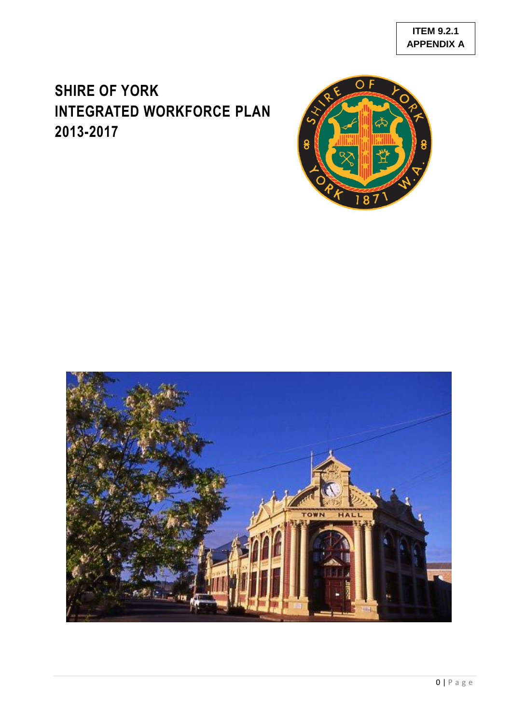# **SHIRE OF YORK INTEGRATED WORKFORCE PLAN 2013-2017**



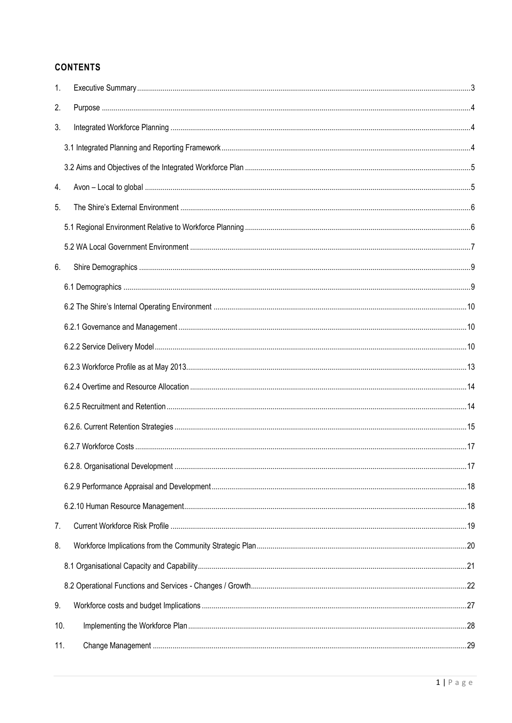### **CONTENTS**

| 1.  |  |
|-----|--|
| 2.  |  |
| 3.  |  |
|     |  |
|     |  |
| 4.  |  |
| 5.  |  |
|     |  |
|     |  |
| 6.  |  |
|     |  |
|     |  |
|     |  |
|     |  |
|     |  |
|     |  |
|     |  |
|     |  |
|     |  |
|     |  |
|     |  |
|     |  |
| 7.  |  |
| 8.  |  |
|     |  |
|     |  |
| 9.  |  |
| 10. |  |
| 11. |  |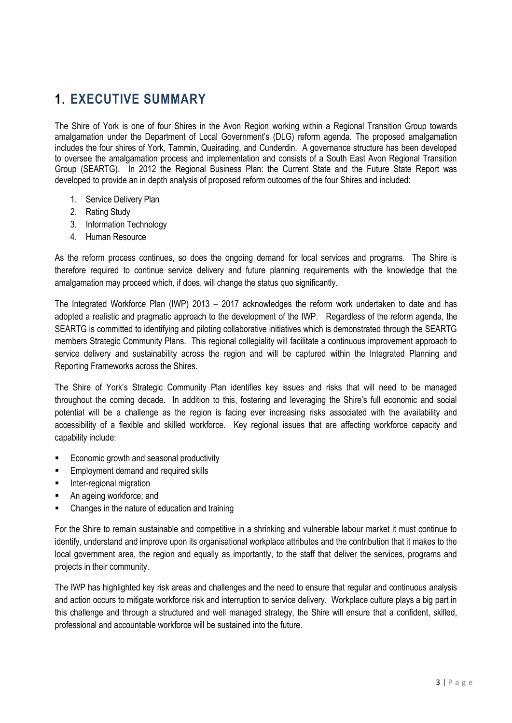## <span id="page-3-0"></span>**1. EXECUTIVE SUMMARY**

The Shire of York is one of four Shires in the Avon Region working within a Regional Transition Group towards amalgamation under the Department of Local Government"s (DLG) reform agenda. The proposed amalgamation includes the four shires of York, Tammin, Quairading, and Cunderdin. A governance structure has been developed to oversee the amalgamation process and implementation and consists of a South East Avon Regional Transition Group (SEARTG). In 2012 the Regional Business Plan: the Current State and the Future State Report was developed to provide an in depth analysis of proposed reform outcomes of the four Shires and included:

- 1. Service Delivery Plan
- 2. Rating Study
- 3. Information Technology
- 4. Human Resource

As the reform process continues, so does the ongoing demand for local services and programs. The Shire is therefore required to continue service delivery and future planning requirements with the knowledge that the amalgamation may proceed which, if does, will change the status quo significantly.

The Integrated Workforce Plan (IWP) 2013 – 2017 acknowledges the reform work undertaken to date and has adopted a realistic and pragmatic approach to the development of the IWP. Regardless of the reform agenda, the SEARTG is committed to identifying and piloting collaborative initiatives which is demonstrated through the SEARTG members Strategic Community Plans. This regional collegiality will facilitate a continuous improvement approach to service delivery and sustainability across the region and will be captured within the Integrated Planning and Reporting Frameworks across the Shires.

The Shire of York"s Strategic Community Plan identifies key issues and risks that will need to be managed throughout the coming decade. In addition to this, fostering and leveraging the Shire"s full economic and social potential will be a challenge as the region is facing ever increasing risks associated with the availability and accessibility of a flexible and skilled workforce. Key regional issues that are affecting workforce capacity and capability include:

- Economic growth and seasonal productivity
- Employment demand and required skills
- Inter-regional migration
- An ageing workforce; and
- Changes in the nature of education and training

For the Shire to remain sustainable and competitive in a shrinking and vulnerable labour market it must continue to identify, understand and improve upon its organisational workplace attributes and the contribution that it makes to the local government area, the region and equally as importantly, to the staff that deliver the services, programs and projects in their community.

The IWP has highlighted key risk areas and challenges and the need to ensure that regular and continuous analysis and action occurs to mitigate workforce risk and interruption to service delivery. Workplace culture plays a big part in this challenge and through a structured and well managed strategy, the Shire will ensure that a confident, skilled, professional and accountable workforce will be sustained into the future.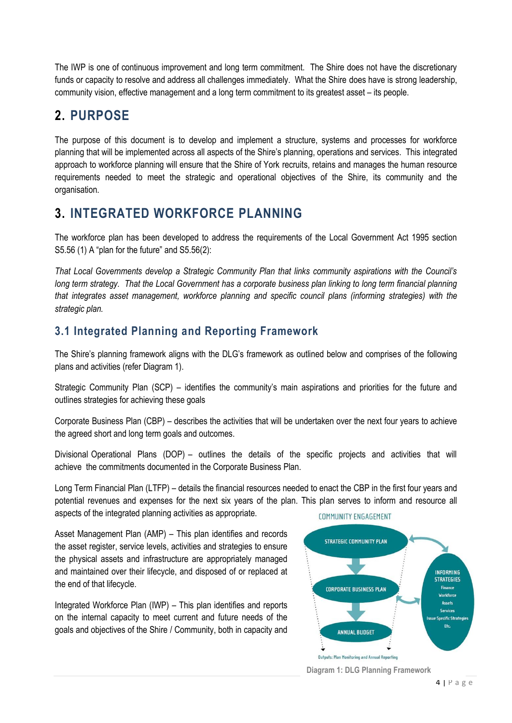The IWP is one of continuous improvement and long term commitment. The Shire does not have the discretionary funds or capacity to resolve and address all challenges immediately. What the Shire does have is strong leadership, community vision, effective management and a long term commitment to its greatest asset – its people.

# <span id="page-4-0"></span>**2. PURPOSE**

The purpose of this document is to develop and implement a structure, systems and processes for workforce planning that will be implemented across all aspects of the Shire's planning, operations and services. This integrated approach to workforce planning will ensure that the Shire of York recruits, retains and manages the human resource requirements needed to meet the strategic and operational objectives of the Shire, its community and the organisation.

# <span id="page-4-1"></span>**3. INTEGRATED WORKFORCE PLANNING**

The workforce plan has been developed to address the requirements of the Local Government Act 1995 section S5.56 (1) A "plan for the future" and S5.56(2):

*That Local Governments develop a Strategic Community Plan that links community aspirations with the Council's long term strategy.* That the Local Government has a corporate business plan linking to long term financial planning *that integrates asset management, workforce planning and specific council plans (informing strategies) with the strategic plan.*

## <span id="page-4-2"></span>**3.1 Integrated Planning and Reporting Framework**

The Shire"s planning framework aligns with the DLG"s framework as outlined below and comprises of the following plans and activities (refer Diagram 1).

Strategic Community Plan (SCP) – identifies the community"s main aspirations and priorities for the future and outlines strategies for achieving these goals

Corporate Business Plan (CBP) – describes the activities that will be undertaken over the next four years to achieve the agreed short and long term goals and outcomes.

Divisional Operational Plans (DOP) – outlines the details of the specific projects and activities that will achieve the commitments documented in the Corporate Business Plan.

Long Term Financial Plan (LTFP) – details the financial resources needed to enact the CBP in the first four years and potential revenues and expenses for the next six years of the plan. This plan serves to inform and resource all aspects of the integrated planning activities as appropriate. COMMUNITY ENGAGEMENT

Asset Management Plan (AMP) – This plan identifies and records the asset register, service levels, activities and strategies to ensure the physical assets and infrastructure are appropriately managed and maintained over their lifecycle, and disposed of or replaced at the end of that lifecycle.

Integrated Workforce Plan (IWP) – This plan identifies and reports on the internal capacity to meet current and future needs of the goals and objectives of the Shire / Community, both in capacity and



**Diagram 1: DLG Planning Framework**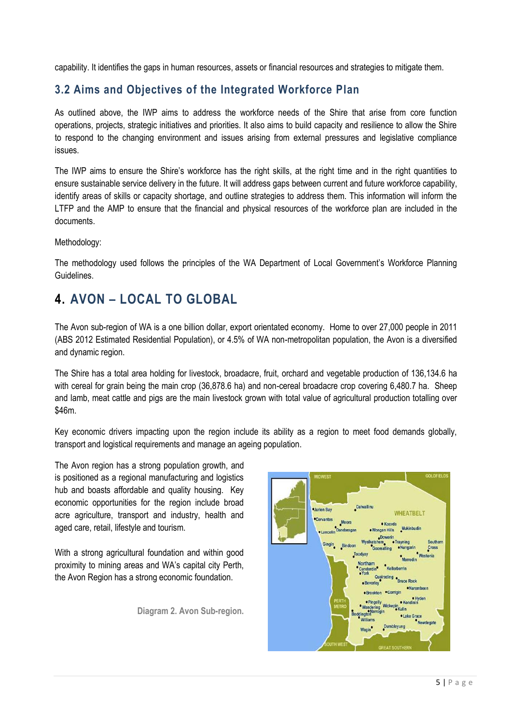capability. It identifies the gaps in human resources, assets or financial resources and strategies to mitigate them.

### <span id="page-5-0"></span>**3.2 Aims and Objectives of the Integrated Workforce Plan**

As outlined above, the IWP aims to address the workforce needs of the Shire that arise from core function operations, projects, strategic initiatives and priorities. It also aims to build capacity and resilience to allow the Shire to respond to the changing environment and issues arising from external pressures and legislative compliance issues.

The IWP aims to ensure the Shire"s workforce has the right skills, at the right time and in the right quantities to ensure sustainable service delivery in the future. It will address gaps between current and future workforce capability, identify areas of skills or capacity shortage, and outline strategies to address them. This information will inform the LTFP and the AMP to ensure that the financial and physical resources of the workforce plan are included in the documents.

Methodology:

The methodology used follows the principles of the WA Department of Local Government's Workforce Planning Guidelines.

# <span id="page-5-1"></span>**4. AVON – LOCAL TO GLOBAL**

The Avon sub-region of WA is a one billion dollar, export orientated economy. Home to over 27,000 people in 2011 (ABS 2012 Estimated Residential Population), or 4.5% of WA non-metropolitan population, the Avon is a diversified and dynamic region.

The Shire has a total area holding for livestock, broadacre, fruit, orchard and vegetable production of 136,134.6 ha with cereal for grain being the main crop (36,878.6 ha) and non-cereal broadacre crop covering 6,480.7 ha. Sheep and lamb, meat cattle and pigs are the main livestock grown with total value of agricultural production totalling over \$46m.

Key economic drivers impacting upon the region include its ability as a region to meet food demands globally, transport and logistical requirements and manage an ageing population.

The Avon region has a strong population growth, and is positioned as a regional manufacturing and logistics hub and boasts affordable and quality housing. Key economic opportunities for the region include broad acre agriculture, transport and industry, health and aged care, retail, lifestyle and tourism.

With a strong agricultural foundation and within good proximity to mining areas and WA"s capital city Perth, the Avon Region has a strong economic foundation.

**Diagram 2. Avon Sub-region.**

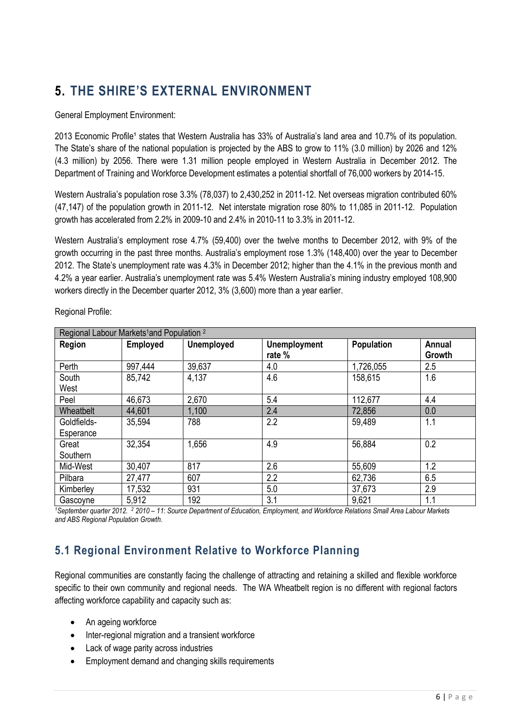# <span id="page-6-0"></span>**5. THE SHIRE'S EXTERNAL ENVIRONMENT**

#### General Employment Environment:

2013 Economic Profile<sup>1</sup> states that Western Australia has 33% of Australia's land area and 10.7% of its population. The State's share of the national population is projected by the ABS to grow to 11% (3.0 million) by 2026 and 12% (4.3 million) by 2056. There were 1.31 million people employed in Western Australia in December 2012. The Department of Training and Workforce Development estimates a potential shortfall of 76,000 workers by 2014-15.

Western Australia's population rose 3.3% (78,037) to 2,430,252 in 2011-12. Net overseas migration contributed 60% (47,147) of the population growth in 2011-12. Net interstate migration rose 80% to 11,085 in 2011-12. Population growth has accelerated from 2.2% in 2009-10 and 2.4% in 2010-11 to 3.3% in 2011-12.

Western Australia's employment rose 4.7% (59.400) over the twelve months to December 2012, with 9% of the growth occurring in the past three months. Australia"s employment rose 1.3% (148,400) over the year to December 2012. The State"s unemployment rate was 4.3% in December 2012; higher than the 4.1% in the previous month and 4.2% a year earlier. Australia"s unemployment rate was 5.4% Western Australia"s mining industry employed 108,900 workers directly in the December quarter 2012, 3% (3,600) more than a year earlier.

| Regional Labour Markets <sup>1</sup> and Population <sup>2</sup> |                 |                   |                               |                   |                  |
|------------------------------------------------------------------|-----------------|-------------------|-------------------------------|-------------------|------------------|
| Region                                                           | <b>Employed</b> | <b>Unemployed</b> | <b>Unemployment</b><br>rate % | <b>Population</b> | Annual<br>Growth |
| Perth                                                            | 997,444         | 39,637            | 4.0                           | 1,726,055         | 2.5              |
| South<br>West                                                    | 85,742          | 4,137             | 4.6                           | 158,615           | 1.6              |
| Peel                                                             | 46,673          | 2,670             | 5.4                           | 112,677           | 4.4              |
| Wheatbelt                                                        | 44,601          | 1,100             | 2.4                           | 72,856            | 0.0              |
| Goldfields-<br>Esperance                                         | 35,594          | 788               | 2.2                           | 59,489            | 1.1              |
| Great<br>Southern                                                | 32,354          | 1,656             | 4.9                           | 56,884            | 0.2              |
| Mid-West                                                         | 30,407          | 817               | 2.6                           | 55,609            | 1.2              |
| Pilbara                                                          | 27,477          | 607               | 2.2                           | 62,736            | 6.5              |
| Kimberley                                                        | 17,532          | 931               | 5.0                           | 37,673            | 2.9              |
| Gascoyne                                                         | 5,912           | 192               | 3.1                           | 9,621             | 1.1              |

Regional Profile:

*<sup>1</sup>September quarter 2012. <sup>2</sup> 2010 – 11*: *Source Department of Education, Employment, and Workforce Relations Small Area Labour Markets and ABS Regional Population Growth.* 

## <span id="page-6-1"></span>**5.1 Regional Environment Relative to Workforce Planning**

Regional communities are constantly facing the challenge of attracting and retaining a skilled and flexible workforce specific to their own community and regional needs. The WA Wheatbelt region is no different with regional factors affecting workforce capability and capacity such as:

- An ageing workforce
- Inter-regional migration and a transient workforce
- Lack of wage parity across industries
- Employment demand and changing skills requirements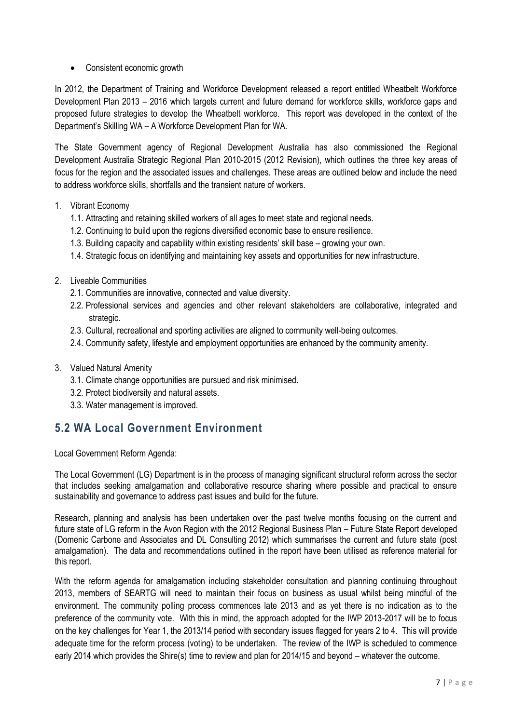• Consistent economic growth

In 2012, the Department of Training and Workforce Development released a report entitled Wheatbelt Workforce Development Plan 2013 – 2016 which targets current and future demand for workforce skills, workforce gaps and proposed future strategies to develop the Wheatbelt workforce. This report was developed in the context of the Department's Skilling WA - A Workforce Development Plan for WA.

The State Government agency of Regional Development Australia has also commissioned the Regional Development Australia Strategic Regional Plan 2010-2015 (2012 Revision), which outlines the three key areas of focus for the region and the associated issues and challenges. These areas are outlined below and include the need to address workforce skills, shortfalls and the transient nature of workers.

- 1. Vibrant Economy
	- 1.1. Attracting and retaining skilled workers of all ages to meet state and regional needs.
	- 1.2. Continuing to build upon the regions diversified economic base to ensure resilience.
	- 1.3. Building capacity and capability within existing residents" skill base growing your own.
	- 1.4. Strategic focus on identifying and maintaining key assets and opportunities for new infrastructure.
- 2. Liveable Communities
	- 2.1. Communities are innovative, connected and value diversity.
	- 2.2. Professional services and agencies and other relevant stakeholders are collaborative, integrated and strategic.
	- 2.3. Cultural, recreational and sporting activities are aligned to community well-being outcomes.
	- 2.4. Community safety, lifestyle and employment opportunities are enhanced by the community amenity.
- 3. Valued Natural Amenity
	- 3.1. Climate change opportunities are pursued and risk minimised.
	- 3.2. Protect biodiversity and natural assets.
	- 3.3. Water management is improved.

### <span id="page-7-0"></span>**5.2 WA Local Government Environment**

Local Government Reform Agenda:

The Local Government (LG) Department is in the process of managing significant structural reform across the sector that includes seeking amalgamation and collaborative resource sharing where possible and practical to ensure sustainability and governance to address past issues and build for the future.

Research, planning and analysis has been undertaken over the past twelve months focusing on the current and future state of LG reform in the Avon Region with the 2012 Regional Business Plan – Future State Report developed (Domenic Carbone and Associates and DL Consulting 2012) which summarises the current and future state (post amalgamation). The data and recommendations outlined in the report have been utilised as reference material for this report.

With the reform agenda for amalgamation including stakeholder consultation and planning continuing throughout 2013, members of SEARTG will need to maintain their focus on business as usual whilst being mindful of the environment. The community polling process commences late 2013 and as yet there is no indication as to the preference of the community vote. With this in mind, the approach adopted for the IWP 2013-2017 will be to focus on the key challenges for Year 1, the 2013/14 period with secondary issues flagged for years 2 to 4. This will provide adequate time for the reform process (voting) to be undertaken. The review of the IWP is scheduled to commence early 2014 which provides the Shire(s) time to review and plan for 2014/15 and beyond – whatever the outcome.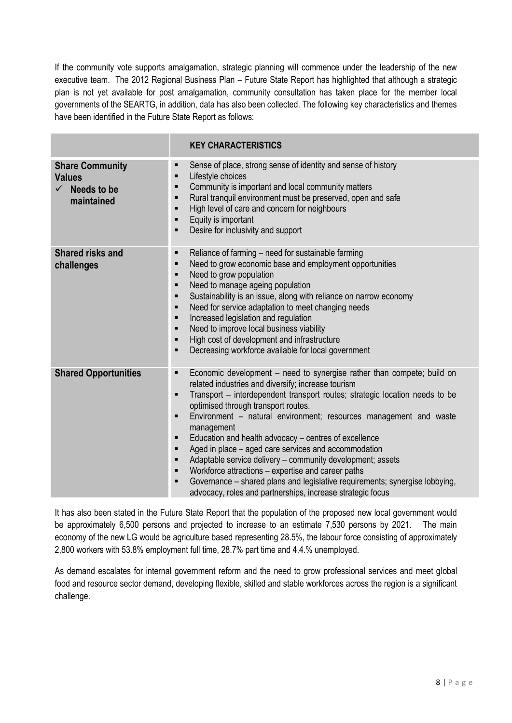If the community vote supports amalgamation, strategic planning will commence under the leadership of the new executive team. The 2012 Regional Business Plan – Future State Report has highlighted that although a strategic plan is not yet available for post amalgamation, community consultation has taken place for the member local governments of the SEARTG, in addition, data has also been collected. The following key characteristics and themes have been identified in the Future State Report as follows:

|                                                                                   | <b>KEY CHARACTERISTICS</b>                                                                                                                                                                                                                                                                                                                                                                                                                                                                                                                                                                                                                                                                                                                                                                                          |
|-----------------------------------------------------------------------------------|---------------------------------------------------------------------------------------------------------------------------------------------------------------------------------------------------------------------------------------------------------------------------------------------------------------------------------------------------------------------------------------------------------------------------------------------------------------------------------------------------------------------------------------------------------------------------------------------------------------------------------------------------------------------------------------------------------------------------------------------------------------------------------------------------------------------|
| <b>Share Community</b><br><b>Values</b><br>$\checkmark$ Needs to be<br>maintained | Sense of place, strong sense of identity and sense of history<br>■<br>Lifestyle choices<br>$\blacksquare$<br>Community is important and local community matters<br>Ξ<br>Rural tranquil environment must be preserved, open and safe<br>Ξ<br>High level of care and concern for neighbours<br>Ξ<br>Equity is important<br>Ξ<br>Desire for inclusivity and support<br>п                                                                                                                                                                                                                                                                                                                                                                                                                                               |
| <b>Shared risks and</b><br>challenges                                             | Reliance of farming - need for sustainable farming<br>п<br>Need to grow economic base and employment opportunities<br>$\blacksquare$<br>Need to grow population<br>$\blacksquare$<br>Need to manage ageing population<br>$\blacksquare$<br>Sustainability is an issue, along with reliance on narrow economy<br>$\blacksquare$<br>Need for service adaptation to meet changing needs<br>$\blacksquare$<br>Increased legislation and regulation<br>$\blacksquare$<br>Need to improve local business viability<br>$\blacksquare$<br>High cost of development and infrastructure<br>$\blacksquare$<br>Decreasing workforce available for local government<br>Ξ                                                                                                                                                         |
| <b>Shared Opportunities</b>                                                       | Economic development – need to synergise rather than compete; build on<br>٠<br>related industries and diversify; increase tourism<br>Transport – interdependent transport routes; strategic location needs to be<br>$\blacksquare$<br>optimised through transport routes.<br>Environment - natural environment; resources management and waste<br>Ξ<br>management<br>Education and health advocacy – centres of excellence<br>$\blacksquare$<br>Aged in place – aged care services and accommodation<br>$\blacksquare$<br>Adaptable service delivery - community development; assets<br>Ξ<br>Workforce attractions – expertise and career paths<br>$\blacksquare$<br>Governance - shared plans and legislative requirements; synergise lobbying,<br>Ξ<br>advocacy, roles and partnerships, increase strategic focus |

It has also been stated in the Future State Report that the population of the proposed new local government would be approximately 6,500 persons and projected to increase to an estimate 7,530 persons by 2021. The main economy of the new LG would be agriculture based representing 28.5%, the labour force consisting of approximately 2,800 workers with 53.8% employment full time, 28.7% part time and 4.4.% unemployed.

As demand escalates for internal government reform and the need to grow professional services and meet global food and resource sector demand, developing flexible, skilled and stable workforces across the region is a significant challenge.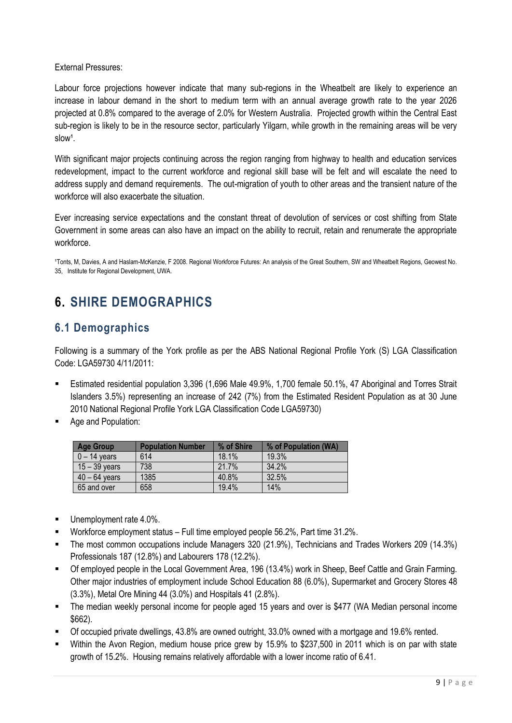External Pressures:

Labour force projections however indicate that many sub-regions in the Wheatbelt are likely to experience an increase in labour demand in the short to medium term with an annual average growth rate to the year 2026 projected at 0.8% compared to the average of 2.0% for Western Australia. Projected growth within the Central East sub-region is likely to be in the resource sector, particularly Yilgarn, while growth in the remaining areas will be very slow<sup>1</sup>.

With significant major projects continuing across the region ranging from highway to health and education services redevelopment, impact to the current workforce and regional skill base will be felt and will escalate the need to address supply and demand requirements. The out-migration of youth to other areas and the transient nature of the workforce will also exacerbate the situation.

Ever increasing service expectations and the constant threat of devolution of services or cost shifting from State Government in some areas can also have an impact on the ability to recruit, retain and renumerate the appropriate workforce.

1Tonts, M, Davies, A and Haslam-McKenzie, F 2008. Regional Workforce Futures: An analysis of the Great Southern, SW and Wheatbelt Regions, Geowest No. 35, Institute for Regional Development, UWA.

# <span id="page-9-0"></span>**6. SHIRE DEMOGRAPHICS**

## <span id="page-9-1"></span>**6.1 Demographics**

Following is a summary of the York profile as per the ABS National Regional Profile York (S) LGA Classification Code: LGA59730 4/11/2011:

- Estimated residential population 3,396 (1,696 Male 49.9%, 1,700 female 50.1%, 47 Aboriginal and Torres Strait Islanders 3.5%) representing an increase of 242 (7%) from the Estimated Resident Population as at 30 June 2010 National Regional Profile York LGA Classification Code LGA59730)
- Age and Population:

| <b>Age Group</b> | <b>Population Number</b> | % of Shire | % of Population (WA) |
|------------------|--------------------------|------------|----------------------|
| $0 - 14$ years   | 614                      | 18.1%      | 19.3%                |
| $15 - 39$ years  | 738                      | 21.7%      | 34.2%                |
| $40 - 64$ years  | 1385                     | 40.8%      | 32.5%                |
| 65 and over      | 658                      | 19.4%      | 14%                  |

- Unemployment rate 4.0%.
- Workforce employment status Full time employed people 56.2%, Part time 31.2%.
- The most common occupations include Managers 320 (21.9%), Technicians and Trades Workers 209 (14.3%) Professionals 187 (12.8%) and Labourers 178 (12.2%).
- Of employed people in the Local Government Area, 196 (13.4%) work in Sheep, Beef Cattle and Grain Farming. Other major industries of employment include School Education 88 (6.0%), Supermarket and Grocery Stores 48 (3.3%), Metal Ore Mining 44 (3.0%) and Hospitals 41 (2.8%).
- The median weekly personal income for people aged 15 years and over is \$477 (WA Median personal income \$662).
- Of occupied private dwellings, 43.8% are owned outright, 33.0% owned with a mortgage and 19.6% rented.
- Within the Avon Region, medium house price grew by 15.9% to \$237,500 in 2011 which is on par with state growth of 15.2%. Housing remains relatively affordable with a lower income ratio of 6.41.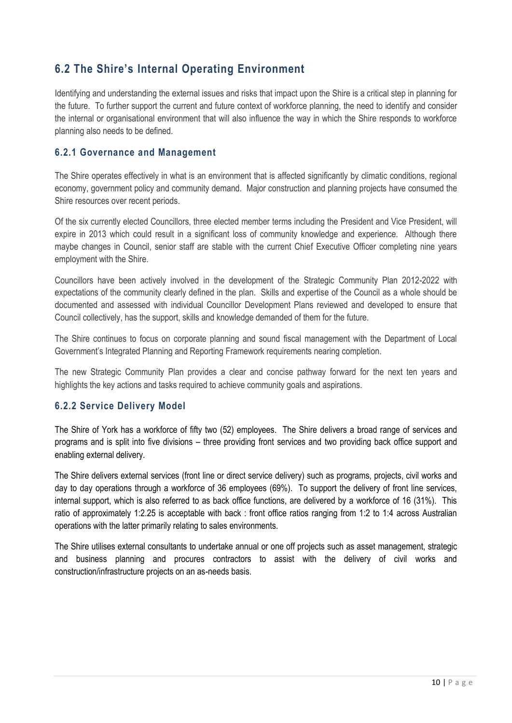## <span id="page-10-0"></span>**6.2 The Shire's Internal Operating Environment**

Identifying and understanding the external issues and risks that impact upon the Shire is a critical step in planning for the future. To further support the current and future context of workforce planning, the need to identify and consider the internal or organisational environment that will also influence the way in which the Shire responds to workforce planning also needs to be defined.

#### <span id="page-10-1"></span>**6.2.1 Governance and Management**

The Shire operates effectively in what is an environment that is affected significantly by climatic conditions, regional economy, government policy and community demand. Major construction and planning projects have consumed the Shire resources over recent periods.

Of the six currently elected Councillors, three elected member terms including the President and Vice President, will expire in 2013 which could result in a significant loss of community knowledge and experience. Although there maybe changes in Council, senior staff are stable with the current Chief Executive Officer completing nine years employment with the Shire.

Councillors have been actively involved in the development of the Strategic Community Plan 2012-2022 with expectations of the community clearly defined in the plan. Skills and expertise of the Council as a whole should be documented and assessed with individual Councillor Development Plans reviewed and developed to ensure that Council collectively, has the support, skills and knowledge demanded of them for the future.

The Shire continues to focus on corporate planning and sound fiscal management with the Department of Local Government's Integrated Planning and Reporting Framework requirements nearing completion.

The new Strategic Community Plan provides a clear and concise pathway forward for the next ten years and highlights the key actions and tasks required to achieve community goals and aspirations.

### <span id="page-10-2"></span>**6.2.2 Service Delivery Model**

The Shire of York has a workforce of fifty two (52) employees. The Shire delivers a broad range of services and programs and is split into five divisions – three providing front services and two providing back office support and enabling external delivery.

The Shire delivers external services (front line or direct service delivery) such as programs, projects, civil works and day to day operations through a workforce of 36 employees (69%). To support the delivery of front line services, internal support, which is also referred to as back office functions, are delivered by a workforce of 16 (31%). This ratio of approximately 1:2.25 is acceptable with back : front office ratios ranging from 1:2 to 1:4 across Australian operations with the latter primarily relating to sales environments.

The Shire utilises external consultants to undertake annual or one off projects such as asset management, strategic and business planning and procures contractors to assist with the delivery of civil works and construction/infrastructure projects on an as-needs basis.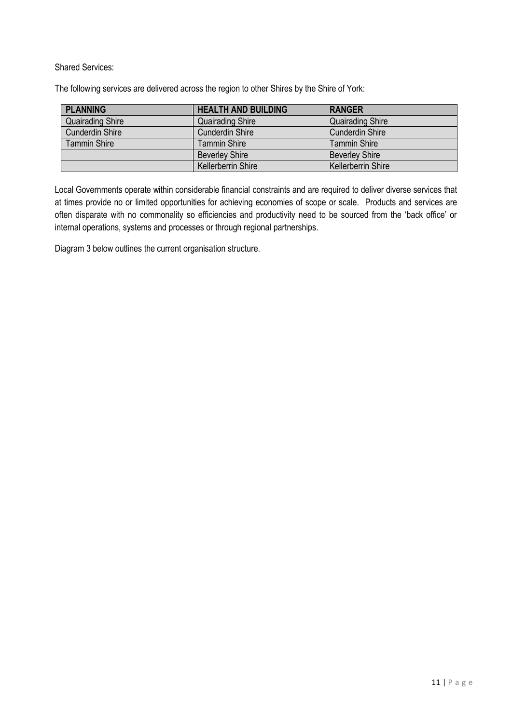Shared Services:

The following services are delivered across the region to other Shires by the Shire of York:

| <b>PLANNING</b>         | <b>HEALTH AND BUILDING</b> | <b>RANGER</b>             |
|-------------------------|----------------------------|---------------------------|
| <b>Quairading Shire</b> | <b>Quairading Shire</b>    | <b>Quairading Shire</b>   |
| <b>Cunderdin Shire</b>  | <b>Cunderdin Shire</b>     | <b>Cunderdin Shire</b>    |
| <b>Tammin Shire</b>     | <b>Tammin Shire</b>        | <b>Tammin Shire</b>       |
|                         | <b>Beverley Shire</b>      | <b>Beverley Shire</b>     |
|                         | Kellerberrin Shire         | <b>Kellerberrin Shire</b> |

Local Governments operate within considerable financial constraints and are required to deliver diverse services that at times provide no or limited opportunities for achieving economies of scope or scale. Products and services are often disparate with no commonality so efficiencies and productivity need to be sourced from the "back office" or internal operations, systems and processes or through regional partnerships.

Diagram 3 below outlines the current organisation structure.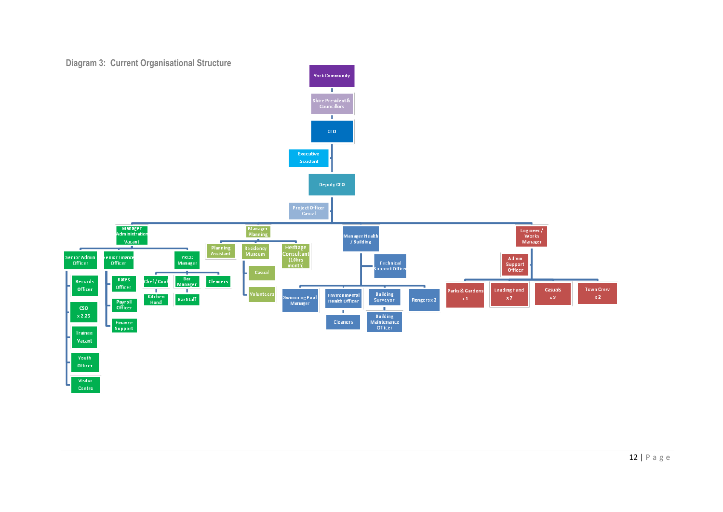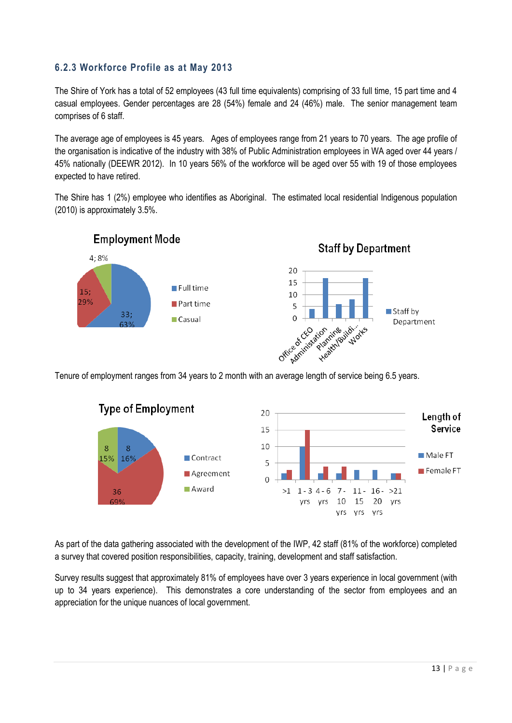### <span id="page-13-0"></span>**6.2.3 Workforce Profile as at May 2013**

The Shire of York has a total of 52 employees (43 full time equivalents) comprising of 33 full time, 15 part time and 4 casual employees. Gender percentages are 28 (54%) female and 24 (46%) male. The senior management team comprises of 6 staff.

The average age of employees is 45 years. Ages of employees range from 21 years to 70 years. The age profile of the organisation is indicative of the industry with 38% of Public Administration employees in WA aged over 44 years / 45% nationally (DEEWR 2012). In 10 years 56% of the workforce will be aged over 55 with 19 of those employees expected to have retired.

The Shire has 1 (2%) employee who identifies as Aboriginal. The estimated local residential Indigenous population (2010) is approximately 3.5%.



Tenure of employment ranges from 34 years to 2 month with an average length of service being 6.5 years.



As part of the data gathering associated with the development of the IWP, 42 staff (81% of the workforce) completed a survey that covered position responsibilities, capacity, training, development and staff satisfaction.

Survey results suggest that approximately 81% of employees have over 3 years experience in local government (with up to 34 years experience). This demonstrates a core understanding of the sector from employees and an appreciation for the unique nuances of local government.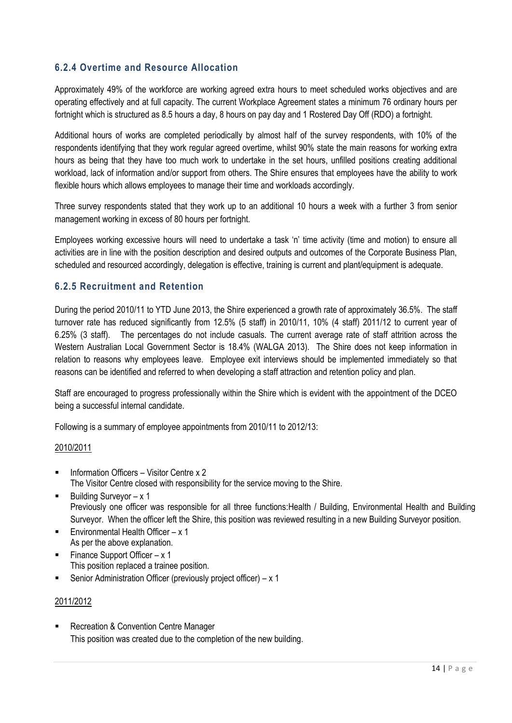### <span id="page-14-0"></span>**6.2.4 Overtime and Resource Allocation**

Approximately 49% of the workforce are working agreed extra hours to meet scheduled works objectives and are operating effectively and at full capacity. The current Workplace Agreement states a minimum 76 ordinary hours per fortnight which is structured as 8.5 hours a day, 8 hours on pay day and 1 Rostered Day Off (RDO) a fortnight.

Additional hours of works are completed periodically by almost half of the survey respondents, with 10% of the respondents identifying that they work regular agreed overtime, whilst 90% state the main reasons for working extra hours as being that they have too much work to undertake in the set hours, unfilled positions creating additional workload, lack of information and/or support from others. The Shire ensures that employees have the ability to work flexible hours which allows employees to manage their time and workloads accordingly.

Three survey respondents stated that they work up to an additional 10 hours a week with a further 3 from senior management working in excess of 80 hours per fortnight.

Employees working excessive hours will need to undertake a task "n" time activity (time and motion) to ensure all activities are in line with the position description and desired outputs and outcomes of the Corporate Business Plan, scheduled and resourced accordingly, delegation is effective, training is current and plant/equipment is adequate.

#### <span id="page-14-1"></span>**6.2.5 Recruitment and Retention**

During the period 2010/11 to YTD June 2013, the Shire experienced a growth rate of approximately 36.5%. The staff turnover rate has reduced significantly from 12.5% (5 staff) in 2010/11, 10% (4 staff) 2011/12 to current year of 6.25% (3 staff). The percentages do not include casuals. The current average rate of staff attrition across the Western Australian Local Government Sector is 18.4% (WALGA 2013). The Shire does not keep information in relation to reasons why employees leave. Employee exit interviews should be implemented immediately so that reasons can be identified and referred to when developing a staff attraction and retention policy and plan.

Staff are encouraged to progress professionally within the Shire which is evident with the appointment of the DCEO being a successful internal candidate.

Following is a summary of employee appointments from 2010/11 to 2012/13:

#### 2010/2011

- Information Officers Visitor Centre x 2 The Visitor Centre closed with responsibility for the service moving to the Shire.
- $\blacksquare$  Building Surveyor x 1 Previously one officer was responsible for all three functions: Health / Building, Environmental Health and Building Surveyor. When the officer left the Shire, this position was reviewed resulting in a new Building Surveyor position.
- **Environmental Health Officer x 1** As per the above explanation.
- **Finance Support Officer x 1** This position replaced a trainee position.
- Senior Administration Officer (previously project officer)  $x$  1

#### 2011/2012

**Recreation & Convention Centre Manager** This position was created due to the completion of the new building.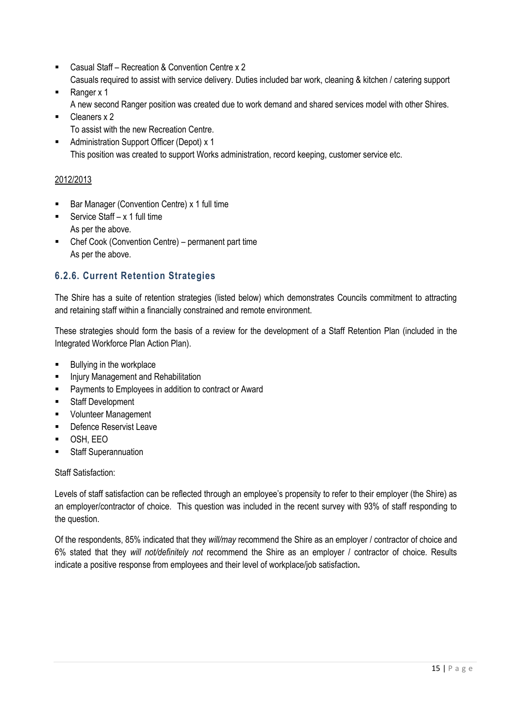- Casual Staff Recreation & Convention Centre x 2 Casuals required to assist with service delivery. Duties included bar work, cleaning & kitchen / catering support
- Ranger x 1
	- A new second Ranger position was created due to work demand and shared services model with other Shires.
- Cleaners x 2 To assist with the new Recreation Centre.
- Administration Support Officer (Depot) x 1 This position was created to support Works administration, record keeping, customer service etc.

### 2012/2013

- Bar Manager (Convention Centre) x 1 full time
- Service Staff  $x 1$  full time As per the above.
- Chef Cook (Convention Centre) permanent part time As per the above.

### <span id="page-15-0"></span>**6.2.6. Current Retention Strategies**

The Shire has a suite of retention strategies (listed below) which demonstrates Councils commitment to attracting and retaining staff within a financially constrained and remote environment.

These strategies should form the basis of a review for the development of a Staff Retention Plan (included in the Integrated Workforce Plan Action Plan).

- Bullying in the workplace
- Injury Management and Rehabilitation
- Payments to Employees in addition to contract or Award
- **Staff Development**
- **•** Volunteer Management
- **•** Defence Reservist Leave
- OSH, EEO
- Staff Superannuation

#### Staff Satisfaction:

Levels of staff satisfaction can be reflected through an employee's propensity to refer to their employer (the Shire) as an employer/contractor of choice. This question was included in the recent survey with 93% of staff responding to the question.

Of the respondents, 85% indicated that they *will/may* recommend the Shire as an employer / contractor of choice and 6% stated that they *will not/definitely not* recommend the Shire as an employer / contractor of choice. Results indicate a positive response from employees and their level of workplace/job satisfaction**.**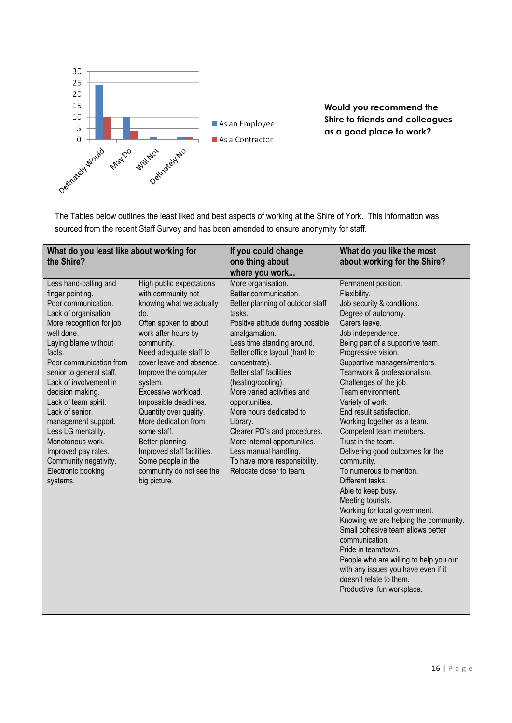

**Would you recommend the Shire to friends and colleagues as a good place to work?**

The Tables below outlines the least liked and best aspects of working at the Shire of York. This information was sourced from the recent Staff Survey and has been amended to ensure anonymity for staff.

| What do you least like about working for<br>the Shire?                                                                                                                                                                                                                                                                                                                                                                                                                   |                                                                                                                                                                                                                                                                                                                                                                                                                                                                               | If you could change<br>one thing about<br>where you work                                                                                                                                                                                                                                                                                                                                                                                                                                                                            | What do you like the most<br>about working for the Shire?                                                                                                                                                                                                                                                                                                                                                                                                                                                                                                                                                                                                                                                                                                                                                                                               |
|--------------------------------------------------------------------------------------------------------------------------------------------------------------------------------------------------------------------------------------------------------------------------------------------------------------------------------------------------------------------------------------------------------------------------------------------------------------------------|-------------------------------------------------------------------------------------------------------------------------------------------------------------------------------------------------------------------------------------------------------------------------------------------------------------------------------------------------------------------------------------------------------------------------------------------------------------------------------|-------------------------------------------------------------------------------------------------------------------------------------------------------------------------------------------------------------------------------------------------------------------------------------------------------------------------------------------------------------------------------------------------------------------------------------------------------------------------------------------------------------------------------------|---------------------------------------------------------------------------------------------------------------------------------------------------------------------------------------------------------------------------------------------------------------------------------------------------------------------------------------------------------------------------------------------------------------------------------------------------------------------------------------------------------------------------------------------------------------------------------------------------------------------------------------------------------------------------------------------------------------------------------------------------------------------------------------------------------------------------------------------------------|
| Less hand-balling and<br>finger pointing.<br>Poor communication.<br>Lack of organisation.<br>More recognition for job<br>well done.<br>Laying blame without<br>facts.<br>Poor communication from<br>senior to general staff.<br>Lack of involvement in<br>decision making.<br>Lack of team spirit.<br>Lack of senior.<br>management support.<br>Less LG mentality.<br>Monotonous work.<br>Improved pay rates.<br>Community negativity.<br>Electronic booking<br>systems. | High public expectations<br>with community not<br>knowing what we actually<br>do.<br>Often spoken to about<br>work after hours by<br>community.<br>Need adequate staff to<br>cover leave and absence.<br>Improve the computer<br>system.<br>Excessive workload.<br>Impossible deadlines.<br>Quantity over quality.<br>More dedication from<br>some staff.<br>Better planning.<br>Improved staff facilities.<br>Some people in the<br>community do not see the<br>big picture. | More organisation.<br>Better communication.<br>Better planning of outdoor staff<br>tasks.<br>Positive attitude during possible<br>amalgamation.<br>Less time standing around.<br>Better office layout (hard to<br>concentrate).<br><b>Better staff facilities</b><br>(heating/cooling).<br>More varied activities and<br>opportunities.<br>More hours dedicated to<br>Library.<br>Clearer PD's and procedures.<br>More internal opportunities.<br>Less manual handling.<br>To have more responsibility.<br>Relocate closer to team. | Permanent position.<br>Flexibility.<br>Job security & conditions.<br>Degree of autonomy.<br>Carers leave.<br>Job independence.<br>Being part of a supportive team.<br>Progressive vision.<br>Supportive managers/mentors.<br>Teamwork & professionalism.<br>Challenges of the job.<br>Team environment.<br>Variety of work.<br>End result satisfaction.<br>Working together as a team.<br>Competent team members.<br>Trust in the team.<br>Delivering good outcomes for the<br>community.<br>To numerous to mention.<br>Different tasks.<br>Able to keep busy.<br>Meeting tourists.<br>Working for local government.<br>Knowing we are helping the community.<br>Small cohesive team allows better<br>communication.<br>Pride in team/town.<br>People who are willing to help you out<br>with any issues you have even if it<br>doesn't relate to them. |

Productive, fun workplace.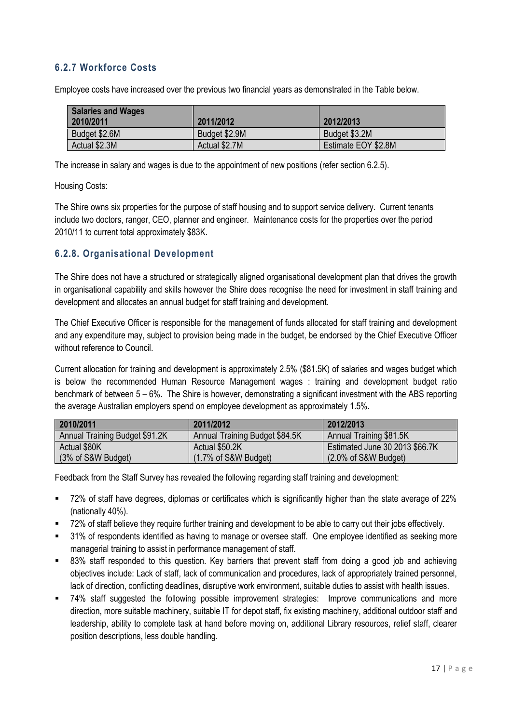### <span id="page-17-0"></span>**6.2.7 Workforce Costs**

Employee costs have increased over the previous two financial years as demonstrated in the Table below.

| <b>Salaries and Wages</b><br>2010/2011 | 2011/2012     | 2012/2013           |
|----------------------------------------|---------------|---------------------|
| Budget \$2.6M                          | Budget \$2.9M | Budget \$3.2M       |
| Actual \$2.3M                          | Actual \$2.7M | Estimate EOY \$2.8M |

The increase in salary and wages is due to the appointment of new positions (refer section 6.2.5).

#### Housing Costs:

The Shire owns six properties for the purpose of staff housing and to support service delivery. Current tenants include two doctors, ranger, CEO, planner and engineer. Maintenance costs for the properties over the period 2010/11 to current total approximately \$83K.

#### <span id="page-17-1"></span>**6.2.8. Organisational Development**

The Shire does not have a structured or strategically aligned organisational development plan that drives the growth in organisational capability and skills however the Shire does recognise the need for investment in staff training and development and allocates an annual budget for staff training and development.

The Chief Executive Officer is responsible for the management of funds allocated for staff training and development and any expenditure may, subject to provision being made in the budget, be endorsed by the Chief Executive Officer without reference to Council.

Current allocation for training and development is approximately 2.5% (\$81.5K) of salaries and wages budget which is below the recommended Human Resource Management wages : training and development budget ratio benchmark of between 5 – 6%. The Shire is however, demonstrating a significant investment with the ABS reporting the average Australian employers spend on employee development as approximately 1.5%.

| 2010/2011                      | 2011/2012                        | 2012/2013                                 |
|--------------------------------|----------------------------------|-------------------------------------------|
| Annual Training Budget \$91.2K | Annual Training Budget \$84.5K   | Annual Training \$81.5K                   |
| Actual \$80K                   | Actual \$50.2K                   | Estimated June 30 2013 \$66.7K            |
| $(3% of S\&W Budget)$          | $(1.7\% \text{ of S\&W Budget})$ | $(2.0\% \text{ of } S\&W \text{ Budget})$ |

Feedback from the Staff Survey has revealed the following regarding staff training and development:

- 72% of staff have degrees, diplomas or certificates which is significantly higher than the state average of 22% (nationally 40%).
- 72% of staff believe they require further training and development to be able to carry out their jobs effectively.
- 31% of respondents identified as having to manage or oversee staff. One employee identified as seeking more managerial training to assist in performance management of staff.
- 83% staff responded to this question. Key barriers that prevent staff from doing a good job and achieving objectives include: Lack of staff, lack of communication and procedures, lack of appropriately trained personnel, lack of direction, conflicting deadlines, disruptive work environment, suitable duties to assist with health issues.
- 74% staff suggested the following possible improvement strategies: Improve communications and more direction, more suitable machinery, suitable IT for depot staff, fix existing machinery, additional outdoor staff and leadership, ability to complete task at hand before moving on, additional Library resources, relief staff, clearer position descriptions, less double handling.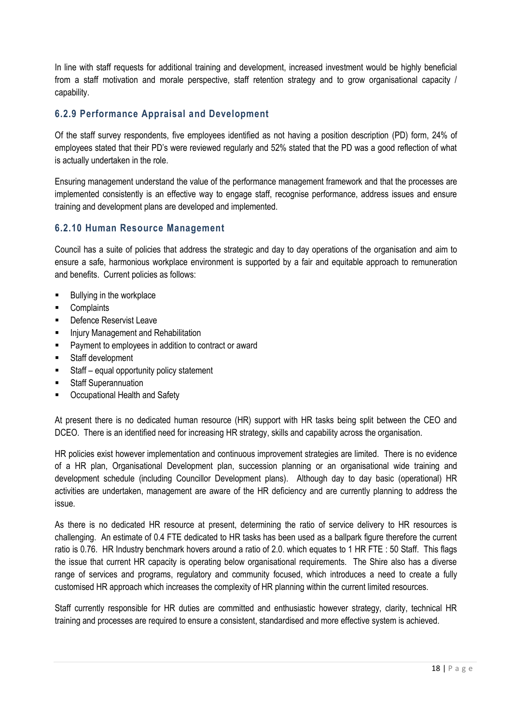In line with staff requests for additional training and development, increased investment would be highly beneficial from a staff motivation and morale perspective, staff retention strategy and to grow organisational capacity / capability.

### <span id="page-18-0"></span>**6.2.9 Performance Appraisal and Development**

Of the staff survey respondents, five employees identified as not having a position description (PD) form, 24% of employees stated that their PD"s were reviewed regularly and 52% stated that the PD was a good reflection of what is actually undertaken in the role.

Ensuring management understand the value of the performance management framework and that the processes are implemented consistently is an effective way to engage staff, recognise performance, address issues and ensure training and development plans are developed and implemented.

### <span id="page-18-1"></span>**6.2.10 Human Resource Management**

Council has a suite of policies that address the strategic and day to day operations of the organisation and aim to ensure a safe, harmonious workplace environment is supported by a fair and equitable approach to remuneration and benefits. Current policies as follows:

- Bullying in the workplace
- Complaints
- Defence Reservist Leave
- Injury Management and Rehabilitation
- **Payment to employees in addition to contract or award**
- **Staff development**
- Staff equal opportunity policy statement
- **Staff Superannuation**
- Occupational Health and Safety

At present there is no dedicated human resource (HR) support with HR tasks being split between the CEO and DCEO. There is an identified need for increasing HR strategy, skills and capability across the organisation.

HR policies exist however implementation and continuous improvement strategies are limited. There is no evidence of a HR plan, Organisational Development plan, succession planning or an organisational wide training and development schedule (including Councillor Development plans). Although day to day basic (operational) HR activities are undertaken, management are aware of the HR deficiency and are currently planning to address the issue.

As there is no dedicated HR resource at present, determining the ratio of service delivery to HR resources is challenging. An estimate of 0.4 FTE dedicated to HR tasks has been used as a ballpark figure therefore the current ratio is 0.76. HR Industry benchmark hovers around a ratio of 2.0. which equates to 1 HR FTE : 50 Staff. This flags the issue that current HR capacity is operating below organisational requirements. The Shire also has a diverse range of services and programs, regulatory and community focused, which introduces a need to create a fully customised HR approach which increases the complexity of HR planning within the current limited resources.

Staff currently responsible for HR duties are committed and enthusiastic however strategy, clarity, technical HR training and processes are required to ensure a consistent, standardised and more effective system is achieved.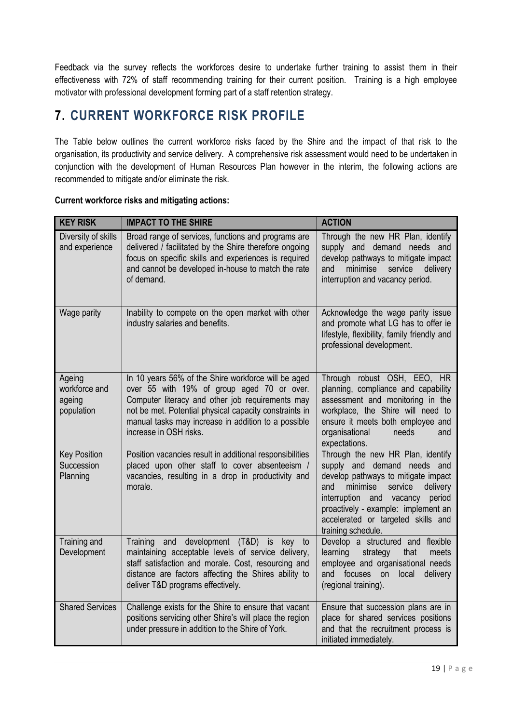Feedback via the survey reflects the workforces desire to undertake further training to assist them in their effectiveness with 72% of staff recommending training for their current position. Training is a high employee motivator with professional development forming part of a staff retention strategy.

# <span id="page-19-0"></span>**7. CURRENT WORKFORCE RISK PROFILE**

The Table below outlines the current workforce risks faced by the Shire and the impact of that risk to the organisation, its productivity and service delivery. A comprehensive risk assessment would need to be undertaken in conjunction with the development of Human Resources Plan however in the interim, the following actions are recommended to mitigate and/or eliminate the risk.

| <b>KEY RISK</b>                                 | <b>IMPACT TO THE SHIRE</b>                                                                                                                                                                                                                                                                       | <b>ACTION</b>                                                                                                                                                                                                                                                                                 |
|-------------------------------------------------|--------------------------------------------------------------------------------------------------------------------------------------------------------------------------------------------------------------------------------------------------------------------------------------------------|-----------------------------------------------------------------------------------------------------------------------------------------------------------------------------------------------------------------------------------------------------------------------------------------------|
| Diversity of skills<br>and experience           | Broad range of services, functions and programs are<br>delivered / facilitated by the Shire therefore ongoing<br>focus on specific skills and experiences is required<br>and cannot be developed in-house to match the rate<br>of demand.                                                        | Through the new HR Plan, identify<br>supply and demand needs and<br>develop pathways to mitigate impact<br>delivery<br>minimise<br>service<br>and<br>interruption and vacancy period.                                                                                                         |
| Wage parity                                     | Inability to compete on the open market with other<br>industry salaries and benefits.                                                                                                                                                                                                            | Acknowledge the wage parity issue<br>and promote what LG has to offer ie<br>lifestyle, flexibility, family friendly and<br>professional development.                                                                                                                                          |
| Ageing<br>workforce and<br>ageing<br>population | In 10 years 56% of the Shire workforce will be aged<br>over 55 with 19% of group aged 70 or over.<br>Computer literacy and other job requirements may<br>not be met. Potential physical capacity constraints in<br>manual tasks may increase in addition to a possible<br>increase in OSH risks. | Through robust OSH, EEO, HR<br>planning, compliance and capability<br>assessment and monitoring in the<br>workplace, the Shire will need to<br>ensure it meets both employee and<br>organisational<br>needs<br>and<br>expectations.                                                           |
| <b>Key Position</b><br>Succession<br>Planning   | Position vacancies result in additional responsibilities<br>placed upon other staff to cover absenteeism /<br>vacancies, resulting in a drop in productivity and<br>morale.                                                                                                                      | Through the new HR Plan, identify<br>supply and demand needs and<br>develop pathways to mitigate impact<br>minimise<br>service<br>delivery<br>and<br>interruption<br>and vacancy<br>period<br>proactively - example: implement an<br>accelerated or targeted skills and<br>training schedule. |
| Training and<br>Development                     | and development (T&D) is<br>Training<br>key to<br>maintaining acceptable levels of service delivery,<br>staff satisfaction and morale. Cost, resourcing and<br>distance are factors affecting the Shires ability to<br>deliver T&D programs effectively.                                         | Develop a structured and flexible<br>learning<br>strategy<br>that<br>meets<br>employee and organisational needs<br>and focuses<br>on<br>local<br>delivery<br>(regional training).                                                                                                             |
| <b>Shared Services</b>                          | Challenge exists for the Shire to ensure that vacant<br>positions servicing other Shire's will place the region<br>under pressure in addition to the Shire of York.                                                                                                                              | Ensure that succession plans are in<br>place for shared services positions<br>and that the recruitment process is<br>initiated immediately.                                                                                                                                                   |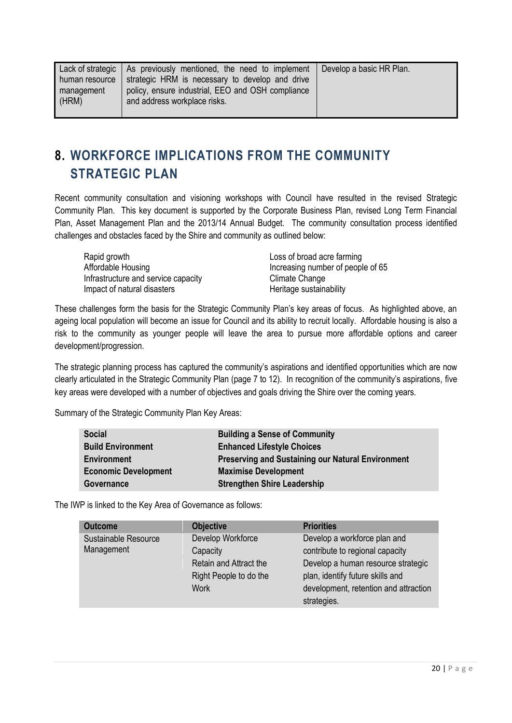# <span id="page-20-0"></span>**8. WORKFORCE IMPLICATIONS FROM THE COMMUNITY STRATEGIC PLAN**

Recent community consultation and visioning workshops with Council have resulted in the revised Strategic Community Plan. This key document is supported by the Corporate Business Plan, revised Long Term Financial Plan, Asset Management Plan and the 2013/14 Annual Budget. The community consultation process identified challenges and obstacles faced by the Shire and community as outlined below:

Rapid growth **Loss of broad acre** farming Infrastructure and service capacity **Example 20 Service Climate Change** Impact of natural disasters **Exercise Setup and American** Heritage sustainability

Affordable Housing The Term increasing number of people of 65

These challenges form the basis for the Strategic Community Plan"s key areas of focus. As highlighted above, an ageing local population will become an issue for Council and its ability to recruit locally. Affordable housing is also a risk to the community as younger people will leave the area to pursue more affordable options and career development/progression.

The strategic planning process has captured the community's aspirations and identified opportunities which are now clearly articulated in the Strategic Community Plan (page 7 to 12). In recognition of the community"s aspirations, five key areas were developed with a number of objectives and goals driving the Shire over the coming years.

Summary of the Strategic Community Plan Key Areas:

| <b>Social</b>               | <b>Building a Sense of Community</b>                     |
|-----------------------------|----------------------------------------------------------|
| <b>Build Environment</b>    | <b>Enhanced Lifestyle Choices</b>                        |
| <b>Environment</b>          | <b>Preserving and Sustaining our Natural Environment</b> |
| <b>Economic Development</b> | <b>Maximise Development</b>                              |
| Governance                  | <b>Strengthen Shire Leadership</b>                       |

The IWP is linked to the Key Area of Governance as follows:

| <b>Outcome</b>       | <b>Objective</b>       | <b>Priorities</b>                     |
|----------------------|------------------------|---------------------------------------|
| Sustainable Resource | Develop Workforce      | Develop a workforce plan and          |
| Management           | Capacity               | contribute to regional capacity       |
|                      | Retain and Attract the | Develop a human resource strategic    |
|                      | Right People to do the | plan, identify future skills and      |
|                      | Work                   | development, retention and attraction |
|                      |                        | strategies.                           |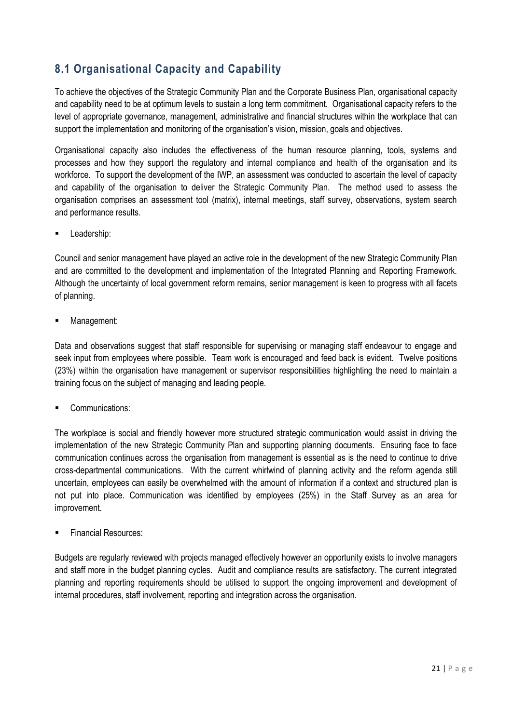## <span id="page-21-0"></span>**8.1 Organisational Capacity and Capability**

To achieve the objectives of the Strategic Community Plan and the Corporate Business Plan, organisational capacity and capability need to be at optimum levels to sustain a long term commitment. Organisational capacity refers to the level of appropriate governance, management, administrative and financial structures within the workplace that can support the implementation and monitoring of the organisation's vision, mission, goals and objectives.

Organisational capacity also includes the effectiveness of the human resource planning, tools, systems and processes and how they support the regulatory and internal compliance and health of the organisation and its workforce. To support the development of the IWP, an assessment was conducted to ascertain the level of capacity and capability of the organisation to deliver the Strategic Community Plan. The method used to assess the organisation comprises an assessment tool (matrix), internal meetings, staff survey, observations, system search and performance results.

Leadership:

Council and senior management have played an active role in the development of the new Strategic Community Plan and are committed to the development and implementation of the Integrated Planning and Reporting Framework. Although the uncertainty of local government reform remains, senior management is keen to progress with all facets of planning.

Management:

Data and observations suggest that staff responsible for supervising or managing staff endeavour to engage and seek input from employees where possible. Team work is encouraged and feed back is evident. Twelve positions (23%) within the organisation have management or supervisor responsibilities highlighting the need to maintain a training focus on the subject of managing and leading people.

Communications:

The workplace is social and friendly however more structured strategic communication would assist in driving the implementation of the new Strategic Community Plan and supporting planning documents. Ensuring face to face communication continues across the organisation from management is essential as is the need to continue to drive cross-departmental communications. With the current whirlwind of planning activity and the reform agenda still uncertain, employees can easily be overwhelmed with the amount of information if a context and structured plan is not put into place. Communication was identified by employees (25%) in the Staff Survey as an area for improvement.

Financial Resources:

Budgets are regularly reviewed with projects managed effectively however an opportunity exists to involve managers and staff more in the budget planning cycles. Audit and compliance results are satisfactory. The current integrated planning and reporting requirements should be utilised to support the ongoing improvement and development of internal procedures, staff involvement, reporting and integration across the organisation.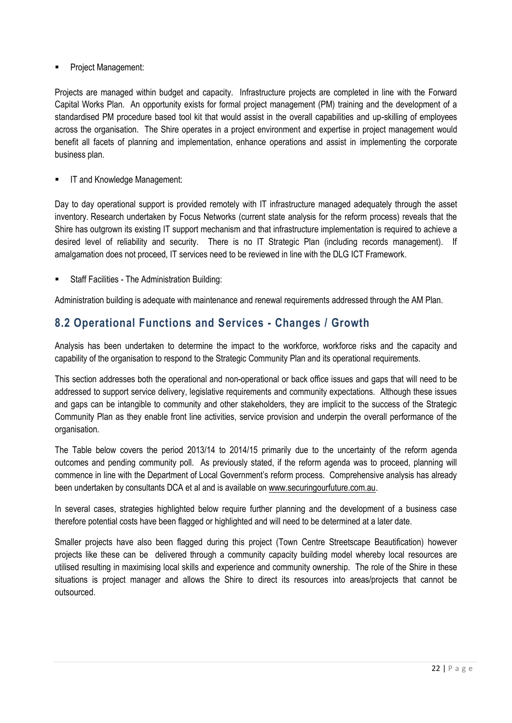Project Management:

Projects are managed within budget and capacity. Infrastructure projects are completed in line with the Forward Capital Works Plan. An opportunity exists for formal project management (PM) training and the development of a standardised PM procedure based tool kit that would assist in the overall capabilities and up-skilling of employees across the organisation. The Shire operates in a project environment and expertise in project management would benefit all facets of planning and implementation, enhance operations and assist in implementing the corporate business plan.

IT and Knowledge Management:

Day to day operational support is provided remotely with IT infrastructure managed adequately through the asset inventory. Research undertaken by Focus Networks (current state analysis for the reform process) reveals that the Shire has outgrown its existing IT support mechanism and that infrastructure implementation is required to achieve a desired level of reliability and security. There is no IT Strategic Plan (including records management). If amalgamation does not proceed, IT services need to be reviewed in line with the DLG ICT Framework.

Staff Facilities - The Administration Building:

Administration building is adequate with maintenance and renewal requirements addressed through the AM Plan.

### <span id="page-22-0"></span>**8.2 Operational Functions and Services - Changes / Growth**

Analysis has been undertaken to determine the impact to the workforce, workforce risks and the capacity and capability of the organisation to respond to the Strategic Community Plan and its operational requirements.

This section addresses both the operational and non-operational or back office issues and gaps that will need to be addressed to support service delivery, legislative requirements and community expectations. Although these issues and gaps can be intangible to community and other stakeholders, they are implicit to the success of the Strategic Community Plan as they enable front line activities, service provision and underpin the overall performance of the organisation.

The Table below covers the period 2013/14 to 2014/15 primarily due to the uncertainty of the reform agenda outcomes and pending community poll. As previously stated, if the reform agenda was to proceed, planning will commence in line with the Department of Local Government"s reform process. Comprehensive analysis has already been undertaken by consultants DCA et al and is available o[n www.securingourfuture.com.au.](http://www.securingourfuture.com.au/)

In several cases, strategies highlighted below require further planning and the development of a business case therefore potential costs have been flagged or highlighted and will need to be determined at a later date.

Smaller projects have also been flagged during this project (Town Centre Streetscape Beautification) however projects like these can be delivered through a community capacity building model whereby local resources are utilised resulting in maximising local skills and experience and community ownership. The role of the Shire in these situations is project manager and allows the Shire to direct its resources into areas/projects that cannot be outsourced.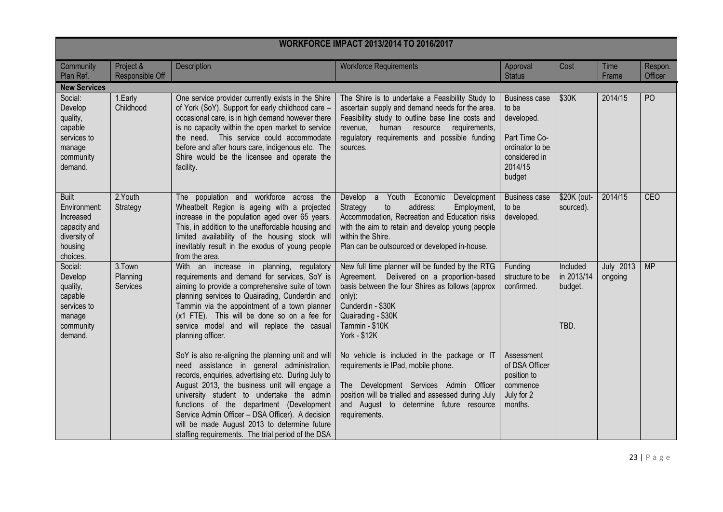| <b>WORKFORCE IMPACT 2013/2014 TO 2016/2017</b>                                                   |                                |                                                                                                                                                                                                                                                                                                                                                                                                                                                            |                                                                                                                                                                                                                                                                 |                                                                                                                       |                                           |                      |                    |
|--------------------------------------------------------------------------------------------------|--------------------------------|------------------------------------------------------------------------------------------------------------------------------------------------------------------------------------------------------------------------------------------------------------------------------------------------------------------------------------------------------------------------------------------------------------------------------------------------------------|-----------------------------------------------------------------------------------------------------------------------------------------------------------------------------------------------------------------------------------------------------------------|-----------------------------------------------------------------------------------------------------------------------|-------------------------------------------|----------------------|--------------------|
| Community<br>Plan Ref.                                                                           | Project &<br>Responsible Off   | Description                                                                                                                                                                                                                                                                                                                                                                                                                                                | <b>Workforce Requirements</b>                                                                                                                                                                                                                                   | Approval<br><b>Status</b>                                                                                             | Cost                                      | Time<br>Frame        | Respon.<br>Officer |
| <b>New Services</b>                                                                              |                                |                                                                                                                                                                                                                                                                                                                                                                                                                                                            |                                                                                                                                                                                                                                                                 |                                                                                                                       |                                           |                      |                    |
| Social:<br>Develop<br>quality,<br>capable<br>services to<br>manage<br>community<br>demand.       | 1.Early<br>Childhood           | One service provider currently exists in the Shire<br>of York (SoY). Support for early childhood care -<br>occasional care, is in high demand however there<br>is no capacity within the open market to service<br>the need. This service could accommodate<br>before and after hours care, indigenous etc. The<br>Shire would be the licensee and operate the<br>facility.                                                                                | The Shire is to undertake a Feasibility Study to<br>ascertain supply and demand needs for the area.<br>Feasibility study to outline base line costs and<br>revenue,<br>human resource requirements,<br>regulatory requirements and possible funding<br>sources. | <b>Business case</b><br>to be<br>developed.<br>Part Time Co-<br>ordinator to be<br>considered in<br>2014/15<br>budget | \$30K                                     | 2014/15              | P <sub>O</sub>     |
| <b>Built</b><br>Environment:<br>Increased<br>capacity and<br>diversity of<br>housing<br>choices. | 2. Youth<br>Strategy           | The population and workforce across the<br>Wheatbelt Region is ageing with a projected<br>increase in the population aged over 65 years.<br>This, in addition to the unaffordable housing and<br>limited availability of the housing stock will<br>inevitably result in the exodus of young people<br>from the area.                                                                                                                                       | Develop a Youth Economic<br>Development<br>to<br>address:<br>Strategy<br>Employment,<br>Accommodation, Recreation and Education risks<br>with the aim to retain and develop young people<br>within the Shire.<br>Plan can be outsourced or developed in-house.  | <b>Business case</b><br>to be<br>developed.                                                                           | \$20K (out-<br>sourced).                  | 2014/15              | <b>CEO</b>         |
| Social:<br>Develop<br>quality,<br>capable<br>services to<br>manage<br>community<br>demand.       | 3.Town<br>Planning<br>Services | With an increase in planning, regulatory<br>requirements and demand for services, SoY is<br>aiming to provide a comprehensive suite of town<br>planning services to Quairading, Cunderdin and<br>Tammin via the appointment of a town planner<br>(x1 FTE). This will be done so on a fee for<br>service model and will replace the casual<br>planning officer.                                                                                             | New full time planner will be funded by the RTG<br>Agreement. Delivered on a proportion-based<br>basis between the four Shires as follows (approx<br>only):<br>Cunderdin - \$30K<br>Quairading - \$30K<br>Tammin - \$10K<br><b>York - \$12K</b>                 | Funding<br>structure to be<br>confirmed.                                                                              | Included<br>in 2013/14<br>budget.<br>TBD. | July 2013<br>ongoing | <b>MP</b>          |
|                                                                                                  |                                | SoY is also re-aligning the planning unit and will<br>need assistance in general administration,<br>records, enquiries, advertising etc. During July to<br>August 2013, the business unit will engage a<br>university student to undertake the admin<br>functions of the department (Development<br>Service Admin Officer - DSA Officer). A decision<br>will be made August 2013 to determine future<br>staffing requirements. The trial period of the DSA | No vehicle is included in the package or IT<br>requirements ie IPad, mobile phone.<br>The Development Services Admin Officer<br>position will be trialled and assessed during July<br>and August to determine future resource<br>requirements.                  | Assessment<br>of DSA Officer<br>position to<br>commence<br>July for 2<br>months.                                      |                                           |                      |                    |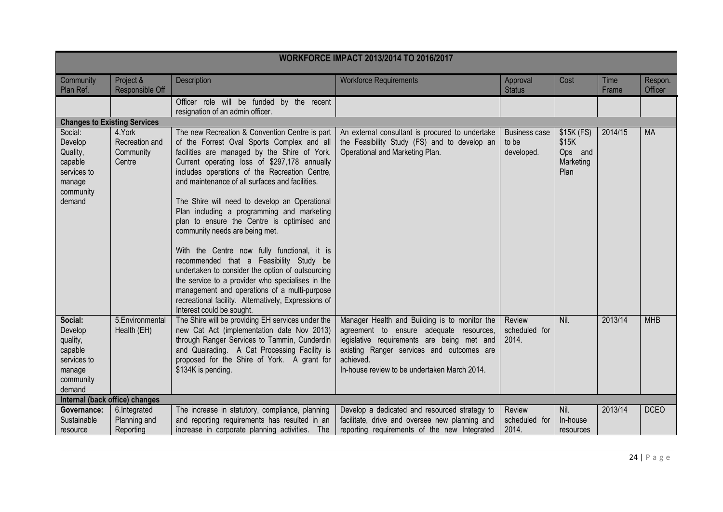| <b>WORKFORCE IMPACT 2013/2014 TO 2016/2017</b>                                                                                                                                                                                                                                                                                                                                                                                                                                                                                                                                                                                                                                                                                                                                                                                                                                                                                                                                                                                                                                                                                                                                                                                |                    |  |  |  |  |  |
|-------------------------------------------------------------------------------------------------------------------------------------------------------------------------------------------------------------------------------------------------------------------------------------------------------------------------------------------------------------------------------------------------------------------------------------------------------------------------------------------------------------------------------------------------------------------------------------------------------------------------------------------------------------------------------------------------------------------------------------------------------------------------------------------------------------------------------------------------------------------------------------------------------------------------------------------------------------------------------------------------------------------------------------------------------------------------------------------------------------------------------------------------------------------------------------------------------------------------------|--------------------|--|--|--|--|--|
| Time<br>Project &<br>Description<br>Cost<br>Community<br><b>Workforce Requirements</b><br>Approval<br>Plan Ref.<br>Responsible Off<br><b>Status</b><br>Frame                                                                                                                                                                                                                                                                                                                                                                                                                                                                                                                                                                                                                                                                                                                                                                                                                                                                                                                                                                                                                                                                  | Respon.<br>Officer |  |  |  |  |  |
| Officer role will be funded by the recent<br>resignation of an admin officer.                                                                                                                                                                                                                                                                                                                                                                                                                                                                                                                                                                                                                                                                                                                                                                                                                                                                                                                                                                                                                                                                                                                                                 |                    |  |  |  |  |  |
| <b>Changes to Existing Services</b>                                                                                                                                                                                                                                                                                                                                                                                                                                                                                                                                                                                                                                                                                                                                                                                                                                                                                                                                                                                                                                                                                                                                                                                           |                    |  |  |  |  |  |
| 2014/15<br>Social:<br>4.York<br>The new Recreation & Convention Centre is part<br>An external consultant is procured to undertake<br>\$15K (FS)<br><b>Business case</b><br>Develop<br>of the Forrest Oval Sports Complex and all<br>the Feasibility Study (FS) and to develop an<br>to be<br>\$15K<br>Recreation and<br>Community<br>facilities are managed by the Shire of York.<br>Operational and Marketing Plan.<br>Quality,<br>developed.<br>Ops and<br>Current operating loss of \$297,178 annually<br>Marketing<br>capable<br>Centre<br>includes operations of the Recreation Centre,<br>Plan<br>services to<br>and maintenance of all surfaces and facilities.<br>manage<br>community<br>demand<br>The Shire will need to develop an Operational<br>Plan including a programming and marketing<br>plan to ensure the Centre is optimised and<br>community needs are being met.<br>With the Centre now fully functional, it is<br>recommended that a Feasibility Study be<br>undertaken to consider the option of outsourcing<br>the service to a provider who specialises in the<br>management and operations of a multi-purpose<br>recreational facility. Alternatively, Expressions of<br>Interest could be sought. | <b>MA</b>          |  |  |  |  |  |
| The Shire will be providing EH services under the<br>2013/14<br>5. Environmental<br>Manager Health and Building is to monitor the<br>Review<br>Nil.<br>Social:<br>new Cat Act (implementation date Nov 2013)<br>scheduled for<br>Develop<br>Health (EH)<br>agreement to ensure adequate resources,<br>through Ranger Services to Tammin, Cunderdin<br>2014.<br>legislative requirements are being met and<br>quality,<br>capable<br>and Quairading. A Cat Processing Facility is<br>existing Ranger services and outcomes are<br>proposed for the Shire of York. A grant for<br>achieved.<br>services to<br>\$134K is pending.<br>In-house review to be undertaken March 2014.<br>manage<br>community<br>demand                                                                                                                                                                                                                                                                                                                                                                                                                                                                                                               | <b>MHB</b>         |  |  |  |  |  |
| Internal (back office) changes<br>2013/14<br>Nil.                                                                                                                                                                                                                                                                                                                                                                                                                                                                                                                                                                                                                                                                                                                                                                                                                                                                                                                                                                                                                                                                                                                                                                             | <b>DCEO</b>        |  |  |  |  |  |
| 6.Integrated<br>The increase in statutory, compliance, planning<br>Develop a dedicated and resourced strategy to<br>Governance:<br>Review<br>Sustainable<br>Planning and<br>and reporting requirements has resulted in an<br>facilitate, drive and oversee new planning and<br>scheduled for<br>In-house                                                                                                                                                                                                                                                                                                                                                                                                                                                                                                                                                                                                                                                                                                                                                                                                                                                                                                                      |                    |  |  |  |  |  |
| Reporting<br>increase in corporate planning activities. The<br>reporting requirements of the new Integrated<br>2014.<br>resource<br>resources                                                                                                                                                                                                                                                                                                                                                                                                                                                                                                                                                                                                                                                                                                                                                                                                                                                                                                                                                                                                                                                                                 |                    |  |  |  |  |  |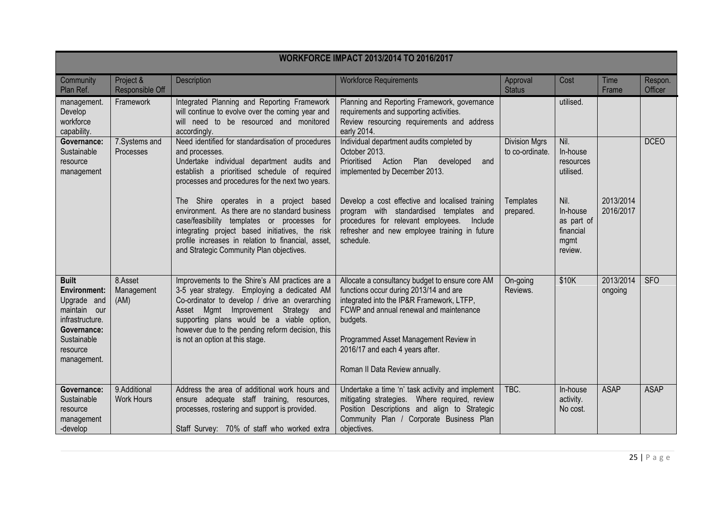| <b>WORKFORCE IMPACT 2013/2014 TO 2016/2017</b>                                                                                                 |                                   |                                                                                                                                                                                                                                                                                                                             |                                                                                                                                                                                                                                                                                                             |                                         |                                                                |                        |                    |
|------------------------------------------------------------------------------------------------------------------------------------------------|-----------------------------------|-----------------------------------------------------------------------------------------------------------------------------------------------------------------------------------------------------------------------------------------------------------------------------------------------------------------------------|-------------------------------------------------------------------------------------------------------------------------------------------------------------------------------------------------------------------------------------------------------------------------------------------------------------|-----------------------------------------|----------------------------------------------------------------|------------------------|--------------------|
| Community<br>Plan Ref.                                                                                                                         | Project &<br>Responsible Off      | Description                                                                                                                                                                                                                                                                                                                 | <b>Workforce Requirements</b>                                                                                                                                                                                                                                                                               | Approval<br><b>Status</b>               | Cost                                                           | Time<br>Frame          | Respon.<br>Officer |
| management.<br>Develop<br>workforce<br>capability.                                                                                             | Framework                         | Integrated Planning and Reporting Framework<br>will continue to evolve over the coming year and<br>will need to be resourced and monitored<br>accordingly.                                                                                                                                                                  | Planning and Reporting Framework, governance<br>requirements and supporting activities.<br>Review resourcing requirements and address<br>early 2014.                                                                                                                                                        |                                         | utilised.                                                      |                        |                    |
| Governance:<br>Sustainable<br>resource<br>management                                                                                           | 7. Systems and<br>Processes       | Need identified for standardisation of procedures<br>and processes.<br>Undertake individual department audits and<br>establish a prioritised schedule of required<br>processes and procedures for the next two years.                                                                                                       | Individual department audits completed by<br>October 2013.<br>Prioritised Action Plan developed<br>and<br>implemented by December 2013.                                                                                                                                                                     | <b>Division Mgrs</b><br>to co-ordinate. | Nil.<br>In-house<br>resources<br>utilised.                     |                        | <b>DCEO</b>        |
|                                                                                                                                                |                                   | Shire operates in a project based<br>The<br>environment. As there are no standard business<br>case/feasibility templates or processes for<br>integrating project based initiatives, the risk<br>profile increases in relation to financial, asset,<br>and Strategic Community Plan objectives.                              | Develop a cost effective and localised training<br>program with standardised templates and<br>procedures for relevant employees.<br>Include<br>refresher and new employee training in future<br>schedule.                                                                                                   | Templates<br>prepared.                  | Nil.<br>In-house<br>as part of<br>financial<br>mgmt<br>review. | 2013/2014<br>2016/2017 |                    |
| <b>Built</b><br><b>Environment:</b><br>Upgrade and<br>maintain our<br>infrastructure.<br>Governance:<br>Sustainable<br>resource<br>management. | 8.Asset<br>Management<br>(AM)     | Improvements to the Shire's AM practices are a<br>3-5 year strategy. Employing a dedicated AM<br>Co-ordinator to develop / drive an overarching<br>Asset Mgmt Improvement Strategy and<br>supporting plans would be a viable option,<br>however due to the pending reform decision, this<br>is not an option at this stage. | Allocate a consultancy budget to ensure core AM<br>functions occur during 2013/14 and are<br>integrated into the IP&R Framework, LTFP,<br>FCWP and annual renewal and maintenance<br>budgets.<br>Programmed Asset Management Review in<br>2016/17 and each 4 years after.<br>Roman II Data Review annually. | On-going<br>Reviews.                    | \$10K                                                          | 2013/2014<br>ongoing   | <b>SFO</b>         |
| Governance:<br>Sustainable<br>resource<br>management<br>-develop                                                                               | 9.Additional<br><b>Work Hours</b> | Address the area of additional work hours and<br>ensure adequate staff training, resources,<br>processes, rostering and support is provided.<br>Staff Survey: 70% of staff who worked extra                                                                                                                                 | Undertake a time 'n' task activity and implement<br>mitigating strategies. Where required, review<br>Position Descriptions and align to Strategic<br>Community Plan / Corporate Business Plan<br>objectives.                                                                                                | TBC.                                    | In-house<br>activity.<br>No cost.                              | <b>ASAP</b>            | <b>ASAP</b>        |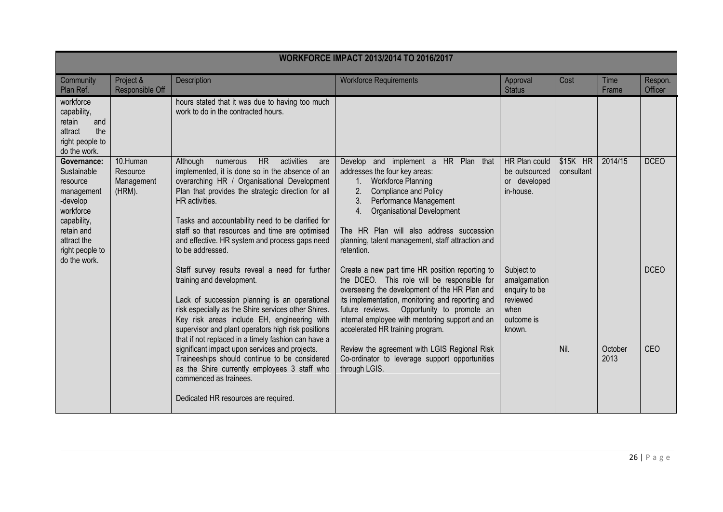| <b>WORKFORCE IMPACT 2013/2014 TO 2016/2017</b>                                                                                                               |                                              |                                                                                                                                                                                                                                                                                                                                                                                                               |                                                                                                                                                                                                                                                                                                                                          |                                                                                         |                        |                 |                    |
|--------------------------------------------------------------------------------------------------------------------------------------------------------------|----------------------------------------------|---------------------------------------------------------------------------------------------------------------------------------------------------------------------------------------------------------------------------------------------------------------------------------------------------------------------------------------------------------------------------------------------------------------|------------------------------------------------------------------------------------------------------------------------------------------------------------------------------------------------------------------------------------------------------------------------------------------------------------------------------------------|-----------------------------------------------------------------------------------------|------------------------|-----------------|--------------------|
| Community<br>Plan Ref.                                                                                                                                       | Project &<br>Responsible Off                 | Description                                                                                                                                                                                                                                                                                                                                                                                                   | <b>Workforce Requirements</b>                                                                                                                                                                                                                                                                                                            | Approval<br><b>Status</b>                                                               | Cost                   | Time<br>Frame   | Respon.<br>Officer |
| workforce<br>capability,<br>retain<br>and<br>the<br>attract<br>right people to<br>do the work.                                                               |                                              | hours stated that it was due to having too much<br>work to do in the contracted hours.                                                                                                                                                                                                                                                                                                                        |                                                                                                                                                                                                                                                                                                                                          |                                                                                         |                        |                 |                    |
| Governance:<br>Sustainable<br>resource<br>management<br>-develop<br>workforce<br>capability,<br>retain and<br>attract the<br>right people to<br>do the work. | 10.Human<br>Resource<br>Management<br>(HRM). | <b>HR</b><br>activities<br>Although<br>numerous<br>are<br>implemented, it is done so in the absence of an<br>overarching HR / Organisational Development<br>Plan that provides the strategic direction for all<br>HR activities.<br>Tasks and accountability need to be clarified for<br>staff so that resources and time are optimised<br>and effective. HR system and process gaps need<br>to be addressed. | Develop and implement a HR Plan that<br>addresses the four key areas:<br><b>Workforce Planning</b><br>1.<br><b>Compliance and Policy</b><br>2.<br>3.<br>Performance Management<br><b>Organisational Development</b><br>4.<br>The HR Plan will also address succession<br>planning, talent management, staff attraction and<br>retention. | HR Plan could<br>be outsourced<br>or developed<br>in-house.                             | \$15K HR<br>consultant | 2014/15         | <b>DCEO</b>        |
|                                                                                                                                                              |                                              | Staff survey results reveal a need for further<br>training and development.<br>Lack of succession planning is an operational<br>risk especially as the Shire services other Shires.<br>Key risk areas include EH, engineering with<br>supervisor and plant operators high risk positions<br>that if not replaced in a timely fashion can have a                                                               | Create a new part time HR position reporting to<br>the DCEO. This role will be responsible for<br>overseeing the development of the HR Plan and<br>its implementation, monitoring and reporting and<br>future reviews. Opportunity to promote an<br>internal employee with mentoring support and an<br>accelerated HR training program.  | Subject to<br>amalgamation<br>enquiry to be<br>reviewed<br>when<br>outcome is<br>known. |                        |                 | <b>DCEO</b>        |
|                                                                                                                                                              |                                              | significant impact upon services and projects.<br>Traineeships should continue to be considered<br>as the Shire currently employees 3 staff who<br>commenced as trainees.<br>Dedicated HR resources are required.                                                                                                                                                                                             | Review the agreement with LGIS Regional Risk<br>Co-ordinator to leverage support opportunities<br>through LGIS.                                                                                                                                                                                                                          |                                                                                         | Nil.                   | October<br>2013 | CEO                |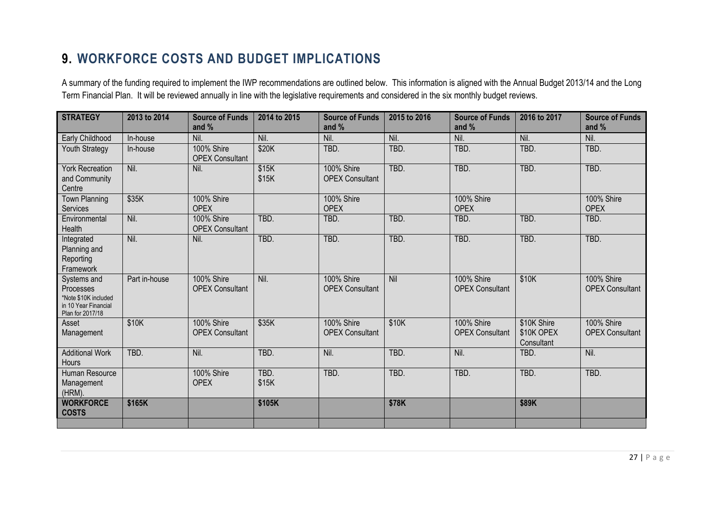## **9. WORKFORCE COSTS AND BUDGET IMPLICATIONS**

A summary of the funding required to implement the IWP recommendations are outlined below. This information is aligned with the Annual Budget 2013/14 and the Long Term Financial Plan. It will be reviewed annually in line with the legislative requirements and considered in the six monthly budget reviews.

<span id="page-27-0"></span>

| <b>STRATEGY</b>                                                                              | 2013 to 2014  | <b>Source of Funds</b><br>and $%$    | 2014 to 2015   | <b>Source of Funds</b><br>and $%$           | 2015 to 2016 | <b>Source of Funds</b><br>and $%$    | 2016 to 2017                            | <b>Source of Funds</b><br>and %             |
|----------------------------------------------------------------------------------------------|---------------|--------------------------------------|----------------|---------------------------------------------|--------------|--------------------------------------|-----------------------------------------|---------------------------------------------|
| Early Childhood                                                                              | In-house      | Nil.                                 | Nil.           | Nil.                                        | Nil.         | Nil.                                 | Nil.                                    | Nil.                                        |
| Youth Strategy                                                                               | In-house      | 100% Shire<br><b>OPEX Consultant</b> | \$20K          | TBD.                                        | TBD.         | TBD.                                 | TBD.                                    | TBD.                                        |
| <b>York Recreation</b><br>and Community<br>Centre                                            | Nil.          | Nil.                                 | \$15K<br>\$15K | <b>100% Shire</b><br><b>OPEX Consultant</b> | TBD.         | TBD.                                 | TBD.                                    | TBD.                                        |
| <b>Town Planning</b><br>Services                                                             | \$35K         | 100% Shire<br><b>OPEX</b>            |                | 100% Shire<br><b>OPEX</b>                   |              | 100% Shire<br><b>OPEX</b>            |                                         | 100% Shire<br><b>OPEX</b>                   |
| Environmental<br>Health                                                                      | Nil.          | 100% Shire<br><b>OPEX Consultant</b> | TBD.           | TBD.                                        | TBD.         | TBD.                                 | TBD.                                    | TBD.                                        |
| Integrated<br>Planning and<br>Reporting<br>Framework                                         | Nil.          | Nil.                                 | TBD.           | TBD.                                        | TBD.         | TBD.                                 | TBD.                                    | TBD.                                        |
| Systems and<br>Processes<br>*Note \$10K included<br>in 10 Year Financial<br>Plan for 2017/18 | Part in-house | 100% Shire<br><b>OPEX Consultant</b> | Nil.           | 100% Shire<br><b>OPEX Consultant</b>        | Nil          | 100% Shire<br><b>OPEX Consultant</b> | \$10K                                   | 100% Shire<br><b>OPEX Consultant</b>        |
| Asset<br>Management                                                                          | \$10K         | 100% Shire<br><b>OPEX Consultant</b> | \$35K          | <b>100% Shire</b><br><b>OPEX Consultant</b> | \$10K        | 100% Shire<br><b>OPEX Consultant</b> | \$10K Shire<br>\$10K OPEX<br>Consultant | <b>100% Shire</b><br><b>OPEX Consultant</b> |
| <b>Additional Work</b><br>Hours                                                              | TBD.          | Nil.                                 | TBD.           | Nil.                                        | TBD.         | Nil.                                 | TBD.                                    | Nil.                                        |
| Human Resource<br>Management<br>(HRM).                                                       |               | 100% Shire<br><b>OPEX</b>            | TBD.<br>\$15K  | TBD.                                        | TBD.         | TBD.                                 | TBD.                                    | TBD.                                        |
| <b>WORKFORCE</b><br><b>COSTS</b>                                                             | \$165K        |                                      | \$105K         |                                             | \$78K        |                                      | \$89K                                   |                                             |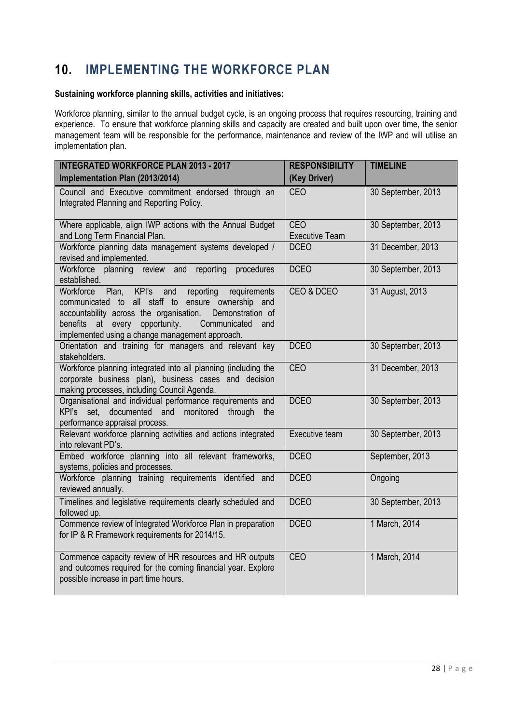## <span id="page-28-0"></span>**10. IMPLEMENTING THE WORKFORCE PLAN**

#### **Sustaining workforce planning skills, activities and initiatives:**

Workforce planning, similar to the annual budget cycle, is an ongoing process that requires resourcing, training and experience. To ensure that workforce planning skills and capacity are created and built upon over time, the senior management team will be responsible for the performance, maintenance and review of the IWP and will utilise an implementation plan.

| <b>INTEGRATED WORKFORCE PLAN 2013 - 2017</b>                                                                                                                                                                                                                                                             | <b>RESPONSIBILITY</b>        | <b>TIMELINE</b>    |
|----------------------------------------------------------------------------------------------------------------------------------------------------------------------------------------------------------------------------------------------------------------------------------------------------------|------------------------------|--------------------|
| Implementation Plan (2013/2014)                                                                                                                                                                                                                                                                          | (Key Driver)                 |                    |
| Council and Executive commitment endorsed through an<br>Integrated Planning and Reporting Policy.                                                                                                                                                                                                        | <b>CEO</b>                   | 30 September, 2013 |
| Where applicable, align IWP actions with the Annual Budget<br>and Long Term Financial Plan.                                                                                                                                                                                                              | CEO<br><b>Executive Team</b> | 30 September, 2013 |
| Workforce planning data management systems developed /<br>revised and implemented.                                                                                                                                                                                                                       | <b>DCEO</b>                  | 31 December, 2013  |
| Workforce planning review and<br>reporting<br>procedures<br>established.                                                                                                                                                                                                                                 | <b>DCEO</b>                  | 30 September, 2013 |
| KPI's<br>Workforce Plan,<br>and<br>reporting<br>requirements<br>communicated to all staff to ensure ownership<br>and<br>accountability across the organisation.<br>Demonstration of<br>benefits<br>every<br>opportunity.<br>Communicated<br>at<br>and<br>implemented using a change management approach. | CEO & DCEO                   | 31 August, 2013    |
| Orientation and training for managers and relevant key<br>stakeholders.                                                                                                                                                                                                                                  | <b>DCEO</b>                  | 30 September, 2013 |
| Workforce planning integrated into all planning (including the<br>corporate business plan), business cases and decision<br>making processes, including Council Agenda.                                                                                                                                   | CEO                          | 31 December, 2013  |
| Organisational and individual performance requirements and<br>KPI's set, documented and<br>monitored<br>through<br>the<br>performance appraisal process.                                                                                                                                                 | <b>DCEO</b>                  | 30 September, 2013 |
| Relevant workforce planning activities and actions integrated<br>into relevant PD's.                                                                                                                                                                                                                     | Executive team               | 30 September, 2013 |
| Embed workforce planning into all relevant frameworks,<br>systems, policies and processes.                                                                                                                                                                                                               | <b>DCEO</b>                  | September, 2013    |
| Workforce planning training requirements identified and<br>reviewed annually.                                                                                                                                                                                                                            | <b>DCEO</b>                  | Ongoing            |
| Timelines and legislative requirements clearly scheduled and<br>followed up.                                                                                                                                                                                                                             | <b>DCEO</b>                  | 30 September, 2013 |
| Commence review of Integrated Workforce Plan in preparation<br>for IP & R Framework requirements for 2014/15.                                                                                                                                                                                            | <b>DCEO</b>                  | 1 March, 2014      |
| Commence capacity review of HR resources and HR outputs<br>and outcomes required for the coming financial year. Explore<br>possible increase in part time hours.                                                                                                                                         | <b>CEO</b>                   | 1 March, 2014      |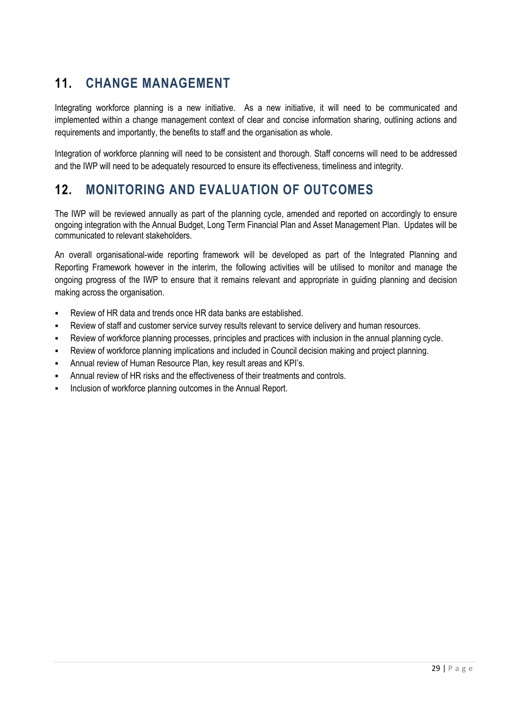# <span id="page-29-0"></span>**11. CHANGE MANAGEMENT**

Integrating workforce planning is a new initiative. As a new initiative, it will need to be communicated and implemented within a change management context of clear and concise information sharing, outlining actions and requirements and importantly, the benefits to staff and the organisation as whole.

Integration of workforce planning will need to be consistent and thorough. Staff concerns will need to be addressed and the IWP will need to be adequately resourced to ensure its effectiveness, timeliness and integrity.

## <span id="page-29-1"></span>**12. MONITORING AND EVALUATION OF OUTCOMES**

The IWP will be reviewed annually as part of the planning cycle, amended and reported on accordingly to ensure ongoing integration with the Annual Budget, Long Term Financial Plan and Asset Management Plan. Updates will be communicated to relevant stakeholders.

An overall organisational-wide reporting framework will be developed as part of the Integrated Planning and Reporting Framework however in the interim, the following activities will be utilised to monitor and manage the ongoing progress of the IWP to ensure that it remains relevant and appropriate in guiding planning and decision making across the organisation.

- Review of HR data and trends once HR data banks are established.
- Review of staff and customer service survey results relevant to service delivery and human resources.
- Review of workforce planning processes, principles and practices with inclusion in the annual planning cycle.
- Review of workforce planning implications and included in Council decision making and project planning.
- Annual review of Human Resource Plan, key result areas and KPI"s.
- Annual review of HR risks and the effectiveness of their treatments and controls.
- Inclusion of workforce planning outcomes in the Annual Report.